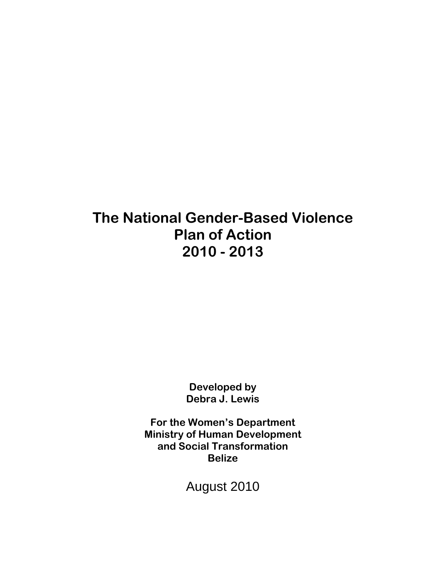# **The National Gender-Based Violence Plan of Action 2010 - 2013**

**Developed by Debra J. Lewis** 

**For the Women's Department Ministry of Human Development and Social Transformation Belize** 

August 2010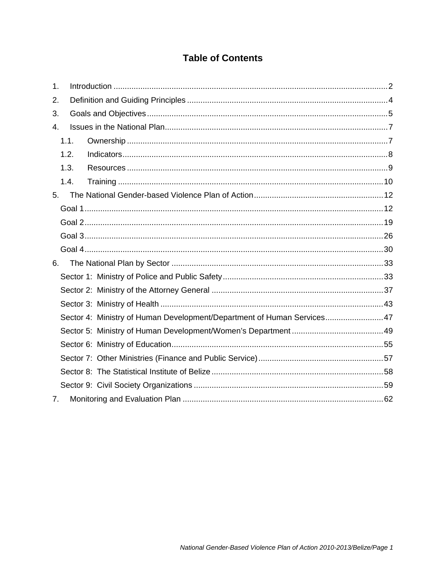### **Table of Contents**

| 1.                                                                     |  |
|------------------------------------------------------------------------|--|
| 2.                                                                     |  |
| 3.                                                                     |  |
| 4.                                                                     |  |
| 1.1.                                                                   |  |
| 1.2.                                                                   |  |
| 1.3.                                                                   |  |
| 1.4.                                                                   |  |
| 5.                                                                     |  |
|                                                                        |  |
|                                                                        |  |
|                                                                        |  |
|                                                                        |  |
| 6.                                                                     |  |
|                                                                        |  |
|                                                                        |  |
|                                                                        |  |
| Sector 4: Ministry of Human Development/Department of Human Services47 |  |
|                                                                        |  |
|                                                                        |  |
|                                                                        |  |
|                                                                        |  |
|                                                                        |  |
| 7.                                                                     |  |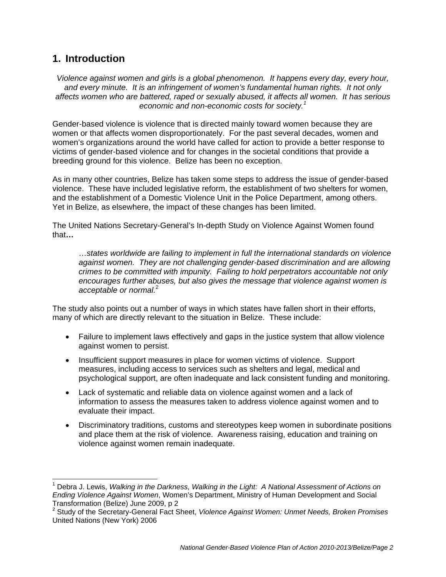### **1. Introduction**

-

*Violence against women and girls is a global phenomenon. It happens every day, every hour, and every minute. It is an infringement of women's fundamental human rights. It not only affects women who are battered, raped or sexually abused, it affects all women. It has serious economic and non-economic costs for society.<sup>1</sup>*

Gender-based violence is violence that is directed mainly toward women because they are women or that affects women disproportionately. For the past several decades, women and women's organizations around the world have called for action to provide a better response to victims of gender-based violence and for changes in the societal conditions that provide a breeding ground for this violence. Belize has been no exception.

As in many other countries, Belize has taken some steps to address the issue of gender-based violence. These have included legislative reform, the establishment of two shelters for women, and the establishment of a Domestic Violence Unit in the Police Department, among others. Yet in Belize, as elsewhere, the impact of these changes has been limited.

The United Nations Secretary-General's In-depth Study on Violence Against Women found that**…** 

…*states worldwide are failing to implement in full the international standards on violence against women. They are not challenging gender-based discrimination and are allowing crimes to be committed with impunity. Failing to hold perpetrators accountable not only encourages further abuses, but also gives the message that violence against women is acceptable or normal.*<sup>2</sup>

The study also points out a number of ways in which states have fallen short in their efforts, many of which are directly relevant to the situation in Belize. These include:

- Failure to implement laws effectively and gaps in the justice system that allow violence against women to persist.
- Insufficient support measures in place for women victims of violence. Support measures, including access to services such as shelters and legal, medical and psychological support, are often inadequate and lack consistent funding and monitoring.
- Lack of systematic and reliable data on violence against women and a lack of information to assess the measures taken to address violence against women and to evaluate their impact.
- Discriminatory traditions, customs and stereotypes keep women in subordinate positions and place them at the risk of violence. Awareness raising, education and training on violence against women remain inadequate.

<sup>1</sup> Debra J. Lewis, *Walking in the Darkness, Walking in the Light: A National Assessment of Actions on Ending Violence Against Women*, Women's Department, Ministry of Human Development and Social Transformation (Belize) June 2009, p 2

<sup>2</sup> Study of the Secretary-General Fact Sheet, *Violence Against Women: Unmet Needs, Broken Promises* United Nations (New York) 2006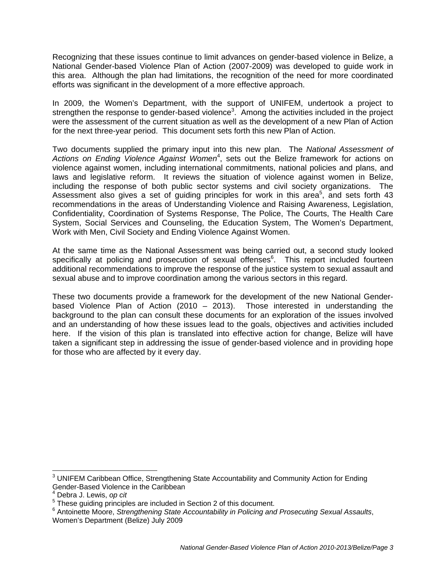Recognizing that these issues continue to limit advances on gender-based violence in Belize, a National Gender-based Violence Plan of Action (2007-2009) was developed to guide work in this area. Although the plan had limitations, the recognition of the need for more coordinated efforts was significant in the development of a more effective approach.

In 2009, the Women's Department, with the support of UNIFEM, undertook a project to strengthen the response to gender-based violence<sup>3</sup>. Among the activities included in the project were the assessment of the current situation as well as the development of a new Plan of Action for the next three-year period. This document sets forth this new Plan of Action.

Two documents supplied the primary input into this new plan. The *National Assessment of*  Actions on Ending Violence Against Women<sup>4</sup>, sets out the Belize framework for actions on violence against women, including international commitments, national policies and plans, and laws and legislative reform. It reviews the situation of violence against women in Belize, including the response of both public sector systems and civil society organizations. The Assessment also gives a set of guiding principles for work in this area<sup>5</sup>, and sets forth 43 recommendations in the areas of Understanding Violence and Raising Awareness, Legislation, Confidentiality, Coordination of Systems Response, The Police, The Courts, The Health Care System, Social Services and Counseling, the Education System, The Women's Department, Work with Men, Civil Society and Ending Violence Against Women.

At the same time as the National Assessment was being carried out, a second study looked specifically at policing and prosecution of sexual offenses<sup>6</sup>. This report included fourteen additional recommendations to improve the response of the justice system to sexual assault and sexual abuse and to improve coordination among the various sectors in this regard.

These two documents provide a framework for the development of the new National Genderbased Violence Plan of Action (2010 – 2013). Those interested in understanding the background to the plan can consult these documents for an exploration of the issues involved and an understanding of how these issues lead to the goals, objectives and activities included here. If the vision of this plan is translated into effective action for change, Belize will have taken a significant step in addressing the issue of gender-based violence and in providing hope for those who are affected by it every day.

 $\overline{a}$ 

 $3$  UNIFEM Caribbean Office, Strengthening State Accountability and Community Action for Ending Gender-Based Violence in the Caribbean

<sup>4</sup> Debra J. Lewis, *op cit*

<sup>&</sup>lt;sup>5</sup> These guiding principles are included in Section 2 of this document.

<sup>6</sup> Antoinette Moore, *Strengthening State Accountability in Policing and Prosecuting Sexual Assaults*, Women's Department (Belize) July 2009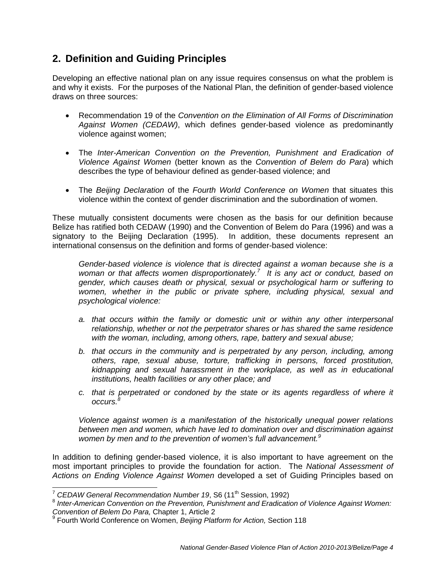### **2. Definition and Guiding Principles**

Developing an effective national plan on any issue requires consensus on what the problem is and why it exists. For the purposes of the National Plan, the definition of gender-based violence draws on three sources:

- Recommendation 19 of the *Convention on the Elimination of All Forms of Discrimination Against Women (CEDAW)*, which defines gender-based violence as predominantly violence against women;
- The *Inter-American Convention on the Prevention, Punishment and Eradication of Violence Against Women* (better known as the *Convention of Belem do Para*) which describes the type of behaviour defined as gender-based violence; and
- The *Beijing Declaration* of the *Fourth World Conference on Women* that situates this violence within the context of gender discrimination and the subordination of women.

These mutually consistent documents were chosen as the basis for our definition because Belize has ratified both CEDAW (1990) and the Convention of Belem do Para (1996) and was a signatory to the Beijing Declaration (1995). In addition, these documents represent an international consensus on the definition and forms of gender-based violence:

*Gender-based violence is violence that is directed against a woman because she is a woman or that affects women disproportionately.<sup>7</sup> It is any act or conduct, based on gender, which causes death or physical, sexual or psychological harm or suffering to women, whether in the public or private sphere, including physical, sexual and psychological violence:* 

- *a. that occurs within the family or domestic unit or within any other interpersonal relationship, whether or not the perpetrator shares or has shared the same residence with the woman, including, among others, rape, battery and sexual abuse;*
- *b. that occurs in the community and is perpetrated by any person, including, among others, rape, sexual abuse, torture, trafficking in persons, forced prostitution, kidnapping and sexual harassment in the workplace, as well as in educational institutions, health facilities or any other place; and*
- *c. that is perpetrated or condoned by the state or its agents regardless of where it occurs.8*

*Violence against women is a manifestation of the historically unequal power relations between men and women, which have led to domination over and discrimination against women by men and to the prevention of women's full advancement.<sup>9</sup>*

In addition to defining gender-based violence, it is also important to have agreement on the most important principles to provide the foundation for action. The *National Assessment of Actions on Ending Violence Against Women* developed a set of Guiding Principles based on

<sup>&</sup>lt;sup>7</sup> CEDAW General Recommendation Number 19, S6 (11<sup>th</sup> Session, 1992)

<sup>&</sup>lt;sup>8</sup> Inter-American Convention on the Prevention, Punishment and Eradication of Violence Against Women:

*Convention of Belem Do Para, Chapter 1, Article 2*<br><sup>9</sup> Fourth World Conference on Women, *Beijing Platform for Action, Section 118*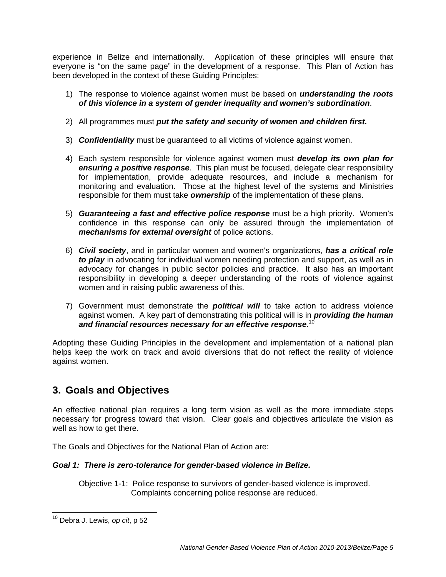experience in Belize and internationally. Application of these principles will ensure that everyone is "on the same page" in the development of a response. This Plan of Action has been developed in the context of these Guiding Principles:

- 1) The response to violence against women must be based on *understanding the roots of this violence in a system of gender inequality and women's subordination*.
- 2) All programmes must *put the safety and security of women and children first.*
- 3) *Confidentiality* must be guaranteed to all victims of violence against women.
- 4) Each system responsible for violence against women must *develop its own plan for ensuring a positive response*. This plan must be focused, delegate clear responsibility for implementation, provide adequate resources, and include a mechanism for monitoring and evaluation. Those at the highest level of the systems and Ministries responsible for them must take *ownership* of the implementation of these plans.
- 5) *Guaranteeing a fast and effective police response* must be a high priority. Women's confidence in this response can only be assured through the implementation of *mechanisms for external oversight* of police actions.
- 6) *Civil society*, and in particular women and women's organizations, *has a critical role to play* in advocating for individual women needing protection and support, as well as in advocacy for changes in public sector policies and practice. It also has an important responsibility in developing a deeper understanding of the roots of violence against women and in raising public awareness of this.
- 7) Government must demonstrate the *political will* to take action to address violence against women. A key part of demonstrating this political will is in *providing the human and financial resources necessary for an effective response*. 10

Adopting these Guiding Principles in the development and implementation of a national plan helps keep the work on track and avoid diversions that do not reflect the reality of violence against women.

### **3. Goals and Objectives**

An effective national plan requires a long term vision as well as the more immediate steps necessary for progress toward that vision. Clear goals and objectives articulate the vision as well as how to get there.

The Goals and Objectives for the National Plan of Action are:

### *Goal 1: There is zero-tolerance for gender-based violence in Belize.*

Objective 1-1: Police response to survivors of gender-based violence is improved. Complaints concerning police response are reduced.

 10 Debra J. Lewis, *op cit*, p 52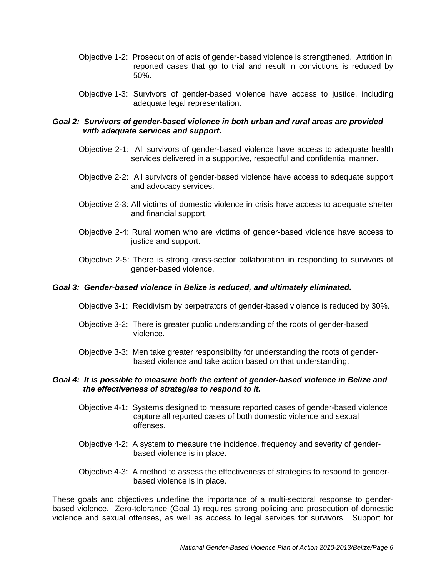- Objective 1-2: Prosecution of acts of gender-based violence is strengthened. Attrition in reported cases that go to trial and result in convictions is reduced by 50%.
- Objective 1-3: Survivors of gender-based violence have access to justice, including adequate legal representation.

- Objective 2-1: All survivors of gender-based violence have access to adequate health services delivered in a supportive, respectful and confidential manner.
- Objective 2-2: All survivors of gender-based violence have access to adequate support and advocacy services.
- Objective 2-3: All victims of domestic violence in crisis have access to adequate shelter and financial support.
- Objective 2-4: Rural women who are victims of gender-based violence have access to justice and support.
- Objective 2-5: There is strong cross-sector collaboration in responding to survivors of gender-based violence.

#### *Goal 3: Gender-based violence in Belize is reduced, and ultimately eliminated.*

- Objective 3-1: Recidivism by perpetrators of gender-based violence is reduced by 30%.
- Objective 3-2: There is greater public understanding of the roots of gender-based violence.
- Objective 3-3: Men take greater responsibility for understanding the roots of gender based violence and take action based on that understanding.

#### *Goal 4: It is possible to measure both the extent of gender-based violence in Belize and the effectiveness of strategies to respond to it.*

- Objective 4-1: Systems designed to measure reported cases of gender-based violence capture all reported cases of both domestic violence and sexual offenses.
- Objective 4-2: A system to measure the incidence, frequency and severity of gender based violence is in place.
- Objective 4-3: A method to assess the effectiveness of strategies to respond to gender based violence is in place.

These goals and objectives underline the importance of a multi-sectoral response to genderbased violence. Zero-tolerance (Goal 1) requires strong policing and prosecution of domestic violence and sexual offenses, as well as access to legal services for survivors. Support for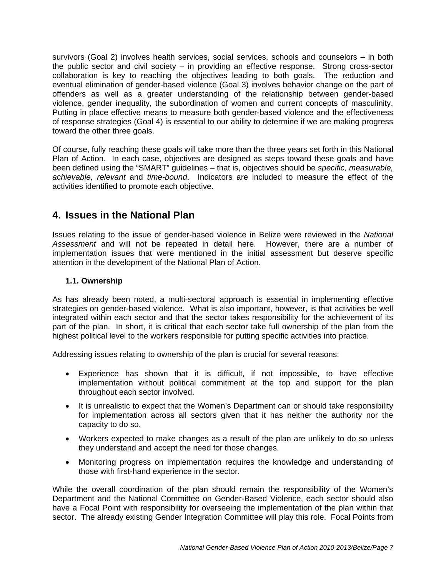survivors (Goal 2) involves health services, social services, schools and counselors – in both the public sector and civil society – in providing an effective response. Strong cross-sector collaboration is key to reaching the objectives leading to both goals. The reduction and eventual elimination of gender-based violence (Goal 3) involves behavior change on the part of offenders as well as a greater understanding of the relationship between gender-based violence, gender inequality, the subordination of women and current concepts of masculinity. Putting in place effective means to measure both gender-based violence and the effectiveness of response strategies (Goal 4) is essential to our ability to determine if we are making progress toward the other three goals.

Of course, fully reaching these goals will take more than the three years set forth in this National Plan of Action. In each case, objectives are designed as steps toward these goals and have been defined using the "SMART" guidelines – that is, objectives should be *specific, measurable, achievable, relevant* and *time-bound*. Indicators are included to measure the effect of the activities identified to promote each objective.

### **4. Issues in the National Plan**

Issues relating to the issue of gender-based violence in Belize were reviewed in the *National Assessment* and will not be repeated in detail here. However, there are a number of implementation issues that were mentioned in the initial assessment but deserve specific attention in the development of the National Plan of Action.

### **1.1. Ownership**

As has already been noted, a multi-sectoral approach is essential in implementing effective strategies on gender-based violence. What is also important, however, is that activities be well integrated within each sector and that the sector takes responsibility for the achievement of its part of the plan. In short, it is critical that each sector take full ownership of the plan from the highest political level to the workers responsible for putting specific activities into practice.

Addressing issues relating to ownership of the plan is crucial for several reasons:

- Experience has shown that it is difficult, if not impossible, to have effective implementation without political commitment at the top and support for the plan throughout each sector involved.
- It is unrealistic to expect that the Women's Department can or should take responsibility for implementation across all sectors given that it has neither the authority nor the capacity to do so.
- Workers expected to make changes as a result of the plan are unlikely to do so unless they understand and accept the need for those changes.
- Monitoring progress on implementation requires the knowledge and understanding of those with first-hand experience in the sector.

While the overall coordination of the plan should remain the responsibility of the Women's Department and the National Committee on Gender-Based Violence, each sector should also have a Focal Point with responsibility for overseeing the implementation of the plan within that sector. The already existing Gender Integration Committee will play this role. Focal Points from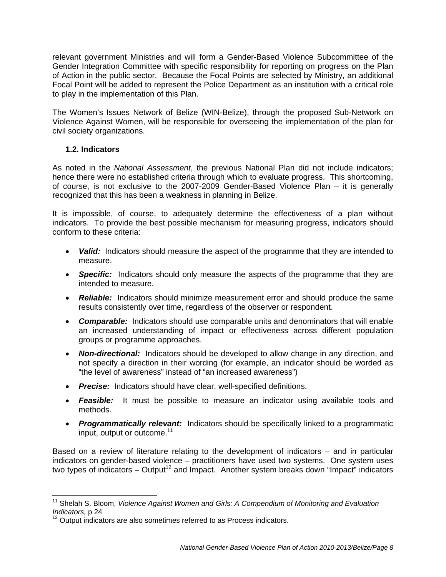relevant government Ministries and will form a Gender-Based Violence Subcommittee of the Gender Integration Committee with specific responsibility for reporting on progress on the Plan of Action in the public sector. Because the Focal Points are selected by Ministry, an additional Focal Point will be added to represent the Police Department as an institution with a critical role to play in the implementation of this Plan.

The Women's Issues Network of Belize (WIN-Belize), through the proposed Sub-Network on Violence Against Women, will be responsible for overseeing the implementation of the plan for civil society organizations.

### **1.2. Indicators**

As noted in the *National Assessment*, the previous National Plan did not include indicators; hence there were no established criteria through which to evaluate progress. This shortcoming, of course, is not exclusive to the 2007-2009 Gender-Based Violence Plan – it is generally recognized that this has been a weakness in planning in Belize.

It is impossible, of course, to adequately determine the effectiveness of a plan without indicators. To provide the best possible mechanism for measuring progress, indicators should conform to these criteria:

- **Valid:** Indicators should measure the aspect of the programme that they are intended to measure.
- *Specific:* Indicators should only measure the aspects of the programme that they are intended to measure.
- *Reliable:* Indicators should minimize measurement error and should produce the same results consistently over time, regardless of the observer or respondent.
- *Comparable:* Indicators should use comparable units and denominators that will enable an increased understanding of impact or effectiveness across different population groups or programme approaches.
- *Non-directional:* Indicators should be developed to allow change in any direction, and not specify a direction in their wording (for example, an indicator should be worded as "the level of awareness" instead of "an increased awareness")
- *Precise:* Indicators should have clear, well-specified definitions.
- *Feasible:* It must be possible to measure an indicator using available tools and methods.
- *Programmatically relevant:* Indicators should be specifically linked to a programmatic input, output or outcome.<sup>11</sup>

Based on a review of literature relating to the development of indicators – and in particular indicators on gender-based violence – practitioners have used two systems. One system uses two types of indicators – Output<sup>12</sup> and Impact. Another system breaks down "Impact" indicators

<sup>&</sup>lt;sup>11</sup> Shelah S. Bloom, *Violence Against Women and Girls: A Compendium of Monitoring and Evaluation* Indicators, p 24<br><sup>12</sup> Output indicators are also sometimes referred to as Process indicators.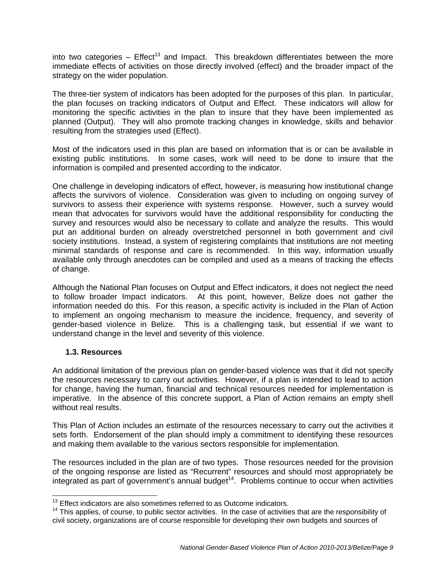into two categories –  $E$ ffect<sup>13</sup> and Impact. This breakdown differentiates between the more immediate effects of activities on those directly involved (effect) and the broader impact of the strategy on the wider population.

The three-tier system of indicators has been adopted for the purposes of this plan. In particular, the plan focuses on tracking indicators of Output and Effect. These indicators will allow for monitoring the specific activities in the plan to insure that they have been implemented as planned (Output). They will also promote tracking changes in knowledge, skills and behavior resulting from the strategies used (Effect).

Most of the indicators used in this plan are based on information that is or can be available in existing public institutions. In some cases, work will need to be done to insure that the information is compiled and presented according to the indicator.

One challenge in developing indicators of effect, however, is measuring how institutional change affects the survivors of violence. Consideration was given to including on ongoing survey of survivors to assess their experience with systems response. However, such a survey would mean that advocates for survivors would have the additional responsibility for conducting the survey and resources would also be necessary to collate and analyze the results. This would put an additional burden on already overstretched personnel in both government and civil society institutions. Instead, a system of registering complaints that institutions are not meeting minimal standards of response and care is recommended. In this way, information usually available only through anecdotes can be compiled and used as a means of tracking the effects of change.

Although the National Plan focuses on Output and Effect indicators, it does not neglect the need to follow broader Impact indicators. At this point, however, Belize does not gather the information needed do this. For this reason, a specific activity is included in the Plan of Action to implement an ongoing mechanism to measure the incidence, frequency, and severity of gender-based violence in Belize. This is a challenging task, but essential if we want to understand change in the level and severity of this violence.

### **1.3. Resources**

An additional limitation of the previous plan on gender-based violence was that it did not specify the resources necessary to carry out activities. However, if a plan is intended to lead to action for change, having the human, financial and technical resources needed for implementation is imperative. In the absence of this concrete support, a Plan of Action remains an empty shell without real results.

This Plan of Action includes an estimate of the resources necessary to carry out the activities it sets forth. Endorsement of the plan should imply a commitment to identifying these resources and making them available to the various sectors responsible for implementation.

The resources included in the plan are of two types. Those resources needed for the provision of the ongoing response are listed as "Recurrent" resources and should most appropriately be  $integrated$  as part of government's annual budget<sup>14</sup>. Problems continue to occur when activities

  $13$  Effect indicators are also sometimes referred to as Outcome indicators.

<sup>&</sup>lt;sup>14</sup> This applies, of course, to public sector activities. In the case of activities that are the responsibility of civil society, organizations are of course responsible for developing their own budgets and sources of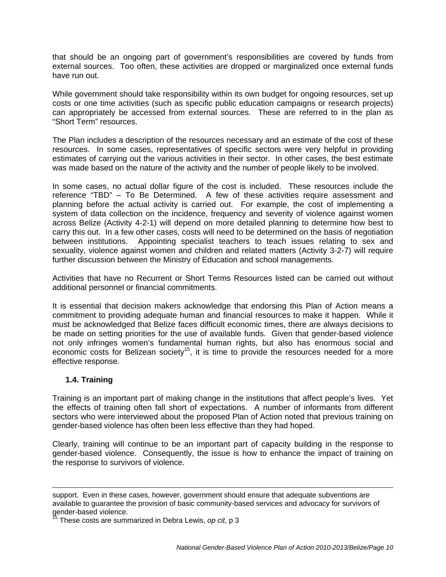that should be an ongoing part of government's responsibilities are covered by funds from external sources. Too often, these activities are dropped or marginalized once external funds have run out.

While government should take responsibility within its own budget for ongoing resources, set up costs or one time activities (such as specific public education campaigns or research projects) can appropriately be accessed from external sources. These are referred to in the plan as "Short Term" resources.

The Plan includes a description of the resources necessary and an estimate of the cost of these resources. In some cases, representatives of specific sectors were very helpful in providing estimates of carrying out the various activities in their sector. In other cases, the best estimate was made based on the nature of the activity and the number of people likely to be involved.

In some cases, no actual dollar figure of the cost is included. These resources include the reference "TBD" – To Be Determined. A few of these activities require assessment and planning before the actual activity is carried out. For example, the cost of implementing a system of data collection on the incidence, frequency and severity of violence against women across Belize (Activity 4-2-1) will depend on more detailed planning to determine how best to carry this out. In a few other cases, costs will need to be determined on the basis of negotiation between institutions. Appointing specialist teachers to teach issues relating to sex and sexuality, violence against women and children and related matters (Activity 3-2-7) will require further discussion between the Ministry of Education and school managements.

Activities that have no Recurrent or Short Terms Resources listed can be carried out without additional personnel or financial commitments.

It is essential that decision makers acknowledge that endorsing this Plan of Action means a commitment to providing adequate human and financial resources to make it happen. While it must be acknowledged that Belize faces difficult economic times, there are always decisions to be made on setting priorities for the use of available funds. Given that gender-based violence not only infringes women's fundamental human rights, but also has enormous social and economic costs for Belizean society<sup>15</sup>, it is time to provide the resources needed for a more effective response.

### **1.4. Training**

-

Training is an important part of making change in the institutions that affect people's lives. Yet the effects of training often fall short of expectations. A number of informants from different sectors who were interviewed about the proposed Plan of Action noted that previous training on gender-based violence has often been less effective than they had hoped.

Clearly, training will continue to be an important part of capacity building in the response to gender-based violence. Consequently, the issue is how to enhance the impact of training on the response to survivors of violence.

support. Even in these cases, however, government should ensure that adequate subventions are available to guarantee the provision of basic community-based services and advocacy for survivors of gender-based violence.

<sup>15</sup> These costs are summarized in Debra Lewis, *op cit*, p 3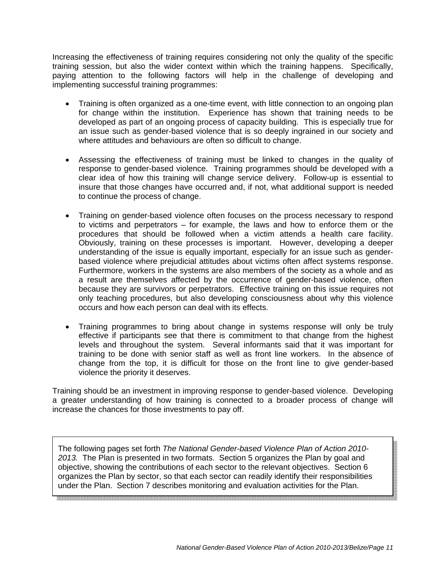Increasing the effectiveness of training requires considering not only the quality of the specific training session, but also the wider context within which the training happens. Specifically, paying attention to the following factors will help in the challenge of developing and implementing successful training programmes:

- Training is often organized as a one-time event, with little connection to an ongoing plan for change within the institution. Experience has shown that training needs to be developed as part of an ongoing process of capacity building. This is especially true for an issue such as gender-based violence that is so deeply ingrained in our society and where attitudes and behaviours are often so difficult to change.
- Assessing the effectiveness of training must be linked to changes in the quality of response to gender-based violence. Training programmes should be developed with a clear idea of how this training will change service delivery. Follow-up is essential to insure that those changes have occurred and, if not, what additional support is needed to continue the process of change.
- Training on gender-based violence often focuses on the process necessary to respond to victims and perpetrators – for example, the laws and how to enforce them or the procedures that should be followed when a victim attends a health care facility. Obviously, training on these processes is important. However, developing a deeper understanding of the issue is equally important, especially for an issue such as genderbased violence where prejudicial attitudes about victims often affect systems response. Furthermore, workers in the systems are also members of the society as a whole and as a result are themselves affected by the occurrence of gender-based violence, often because they are survivors or perpetrators. Effective training on this issue requires not only teaching procedures, but also developing consciousness about why this violence occurs and how each person can deal with its effects.
- Training programmes to bring about change in systems response will only be truly effective if participants see that there is commitment to that change from the highest levels and throughout the system. Several informants said that it was important for training to be done with senior staff as well as front line workers. In the absence of change from the top, it is difficult for those on the front line to give gender-based violence the priority it deserves.

Training should be an investment in improving response to gender-based violence. Developing a greater understanding of how training is connected to a broader process of change will increase the chances for those investments to pay off.

The following pages set forth *The National Gender-based Violence Plan of Action 2010- 2013.* The Plan is presented in two formats. Section 5 organizes the Plan by goal and objective, showing the contributions of each sector to the relevant objectives. Section 6 organizes the Plan by sector, so that each sector can readily identify their responsibilities under the Plan. Section 7 describes monitoring and evaluation activities for the Plan.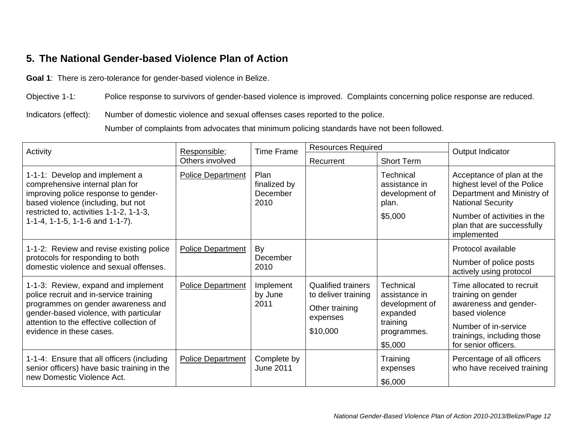## **5. The National Gender-based Violence Plan of Action**

**Goal 1**: There is zero-tolerance for gender-based violence in Belize.

Objective 1-1: Police response to survivors of gender-based violence is improved. Complaints concerning police response are reduced.

Indicators (effect): Number of domestic violence and sexual offenses cases reported to the police.

Number of complaints from advocates that minimum policing standards have not been followed.

| Activity                                                                                                                                                                                                                              | Responsible;             |                                          | <b>Resources Required</b>                                                           |                                                                                                | Output Indicator                                                                                                                                                         |
|---------------------------------------------------------------------------------------------------------------------------------------------------------------------------------------------------------------------------------------|--------------------------|------------------------------------------|-------------------------------------------------------------------------------------|------------------------------------------------------------------------------------------------|--------------------------------------------------------------------------------------------------------------------------------------------------------------------------|
|                                                                                                                                                                                                                                       | Others involved          | <b>Time Frame</b>                        | Recurrent                                                                           | <b>Short Term</b>                                                                              |                                                                                                                                                                          |
| 1-1-1: Develop and implement a<br>comprehensive internal plan for<br>improving police response to gender-<br>based violence (including, but not                                                                                       | <b>Police Department</b> | Plan<br>finalized by<br>December<br>2010 |                                                                                     | Technical<br>assistance in<br>development of<br>plan.                                          | Acceptance of plan at the<br>highest level of the Police<br>Department and Ministry of<br><b>National Security</b>                                                       |
| restricted to, activities 1-1-2, 1-1-3,<br>1-1-4, 1-1-5, 1-1-6 and 1-1-7).                                                                                                                                                            |                          |                                          |                                                                                     | \$5,000                                                                                        | Number of activities in the<br>plan that are successfully<br>implemented                                                                                                 |
| 1-1-2: Review and revise existing police                                                                                                                                                                                              | Police Department        | By                                       |                                                                                     |                                                                                                | Protocol available                                                                                                                                                       |
| protocols for responding to both<br>domestic violence and sexual offenses.                                                                                                                                                            |                          | December<br>2010                         |                                                                                     |                                                                                                | Number of police posts<br>actively using protocol                                                                                                                        |
| 1-1-3: Review, expand and implement<br>police recruit and in-service training<br>programmes on gender awareness and<br>gender-based violence, with particular<br>attention to the effective collection of<br>evidence in these cases. | <b>Police Department</b> | Implement<br>by June<br>2011             | Qualified trainers<br>to deliver training<br>Other training<br>expenses<br>\$10,000 | Technical<br>assistance in<br>development of<br>expanded<br>training<br>programmes.<br>\$5,000 | Time allocated to recruit<br>training on gender<br>awareness and gender-<br>based violence<br>Number of in-service<br>trainings, including those<br>for senior officers. |
| 1-1-4: Ensure that all officers (including<br>senior officers) have basic training in the<br>new Domestic Violence Act.                                                                                                               | <b>Police Department</b> | Complete by<br>June 2011                 |                                                                                     | Training<br>expenses<br>\$6,000                                                                | Percentage of all officers<br>who have received training                                                                                                                 |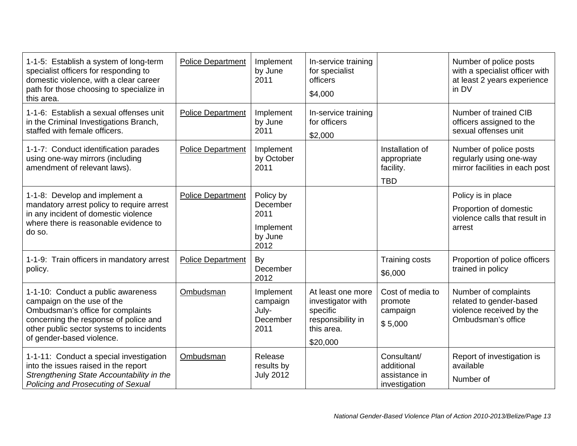| 1-1-5: Establish a system of long-term<br>specialist officers for responding to<br>domestic violence, with a clear career<br>path for those choosing to specialize in<br>this area.                                     | <b>Police Department</b> | Implement<br>by June<br>2011                                  | In-service training<br>for specialist<br>officers<br>\$4,000                                      |                                                             | Number of police posts<br>with a specialist officer with<br>at least 2 years experience<br>in DV  |
|-------------------------------------------------------------------------------------------------------------------------------------------------------------------------------------------------------------------------|--------------------------|---------------------------------------------------------------|---------------------------------------------------------------------------------------------------|-------------------------------------------------------------|---------------------------------------------------------------------------------------------------|
| 1-1-6: Establish a sexual offenses unit<br>in the Criminal Investigations Branch,<br>staffed with female officers.                                                                                                      | <b>Police Department</b> | Implement<br>by June<br>2011                                  | In-service training<br>for officers<br>\$2,000                                                    |                                                             | Number of trained CIB<br>officers assigned to the<br>sexual offenses unit                         |
| 1-1-7: Conduct identification parades<br>using one-way mirrors (including<br>amendment of relevant laws).                                                                                                               | <b>Police Department</b> | Implement<br>by October<br>2011                               |                                                                                                   | Installation of<br>appropriate<br>facility.<br><b>TBD</b>   | Number of police posts<br>regularly using one-way<br>mirror facilities in each post               |
| 1-1-8: Develop and implement a<br>mandatory arrest policy to require arrest<br>in any incident of domestic violence<br>where there is reasonable evidence to<br>do so.                                                  | <b>Police Department</b> | Policy by<br>December<br>2011<br>Implement<br>by June<br>2012 |                                                                                                   |                                                             | Policy is in place<br>Proportion of domestic<br>violence calls that result in<br>arrest           |
| 1-1-9: Train officers in mandatory arrest<br>policy.                                                                                                                                                                    | Police Department        | By<br>December<br>2012                                        |                                                                                                   | <b>Training costs</b><br>\$6,000                            | Proportion of police officers<br>trained in policy                                                |
| 1-1-10: Conduct a public awareness<br>campaign on the use of the<br>Ombudsman's office for complaints<br>concerning the response of police and<br>other public sector systems to incidents<br>of gender-based violence. | Ombudsman                | Implement<br>campaign<br>July-<br>December<br>2011            | At least one more<br>investigator with<br>specific<br>responsibility in<br>this area.<br>\$20,000 | Cost of media to<br>promote<br>campaign<br>\$5,000          | Number of complaints<br>related to gender-based<br>violence received by the<br>Ombudsman's office |
| 1-1-11: Conduct a special investigation<br>into the issues raised in the report<br>Strengthening State Accountability in the<br>Policing and Prosecuting of Sexual                                                      | Ombudsman                | Release<br>results by<br><b>July 2012</b>                     |                                                                                                   | Consultant/<br>additional<br>assistance in<br>investigation | Report of investigation is<br>available<br>Number of                                              |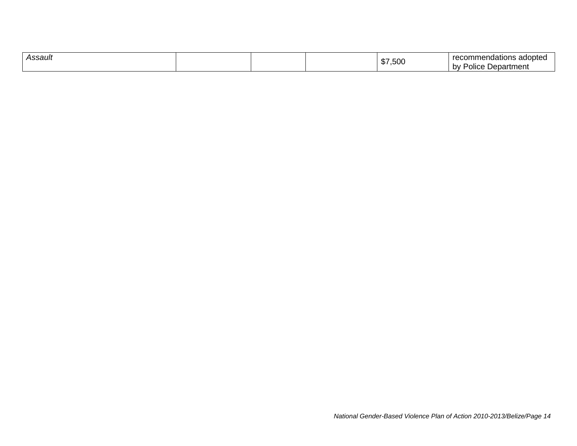| Assault | m.<br> | $-$<br>---<br>-------<br>אחר<br>noation<br>.nmer<br>.500<br>'Jepartment<br>b٧<br>יסווc∈ |
|---------|--------|-----------------------------------------------------------------------------------------|
|---------|--------|-----------------------------------------------------------------------------------------|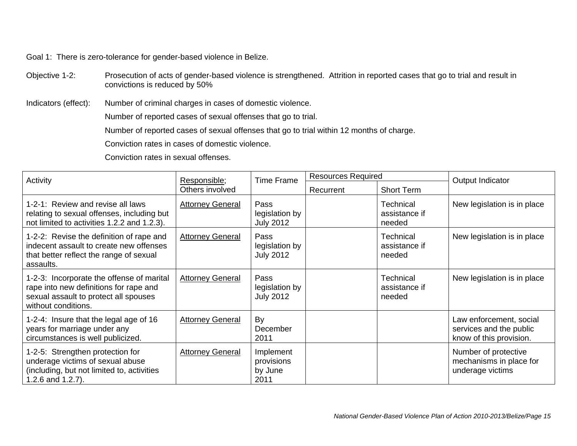Goal 1: There is zero-tolerance for gender-based violence in Belize.

Objective 1-2: Prosecution of acts of gender-based violence is strengthened. Attrition in reported cases that go to trial and result in convictions is reduced by 50%

Indicators (effect): Number of criminal charges in cases of domestic violence.

Number of reported cases of sexual offenses that go to trial.

Number of reported cases of sexual offenses that go to trial within 12 months of charge.

Conviction rates in cases of domestic violence.

Conviction rates in sexual offenses.

| Activity                                                                                                                                            | Responsible;            | <b>Time Frame</b>                          | <b>Resources Required</b> |                                             | Output Indicator                                                              |
|-----------------------------------------------------------------------------------------------------------------------------------------------------|-------------------------|--------------------------------------------|---------------------------|---------------------------------------------|-------------------------------------------------------------------------------|
|                                                                                                                                                     | Others involved         |                                            | Recurrent                 | <b>Short Term</b>                           |                                                                               |
| 1-2-1: Review and revise all laws<br>relating to sexual offenses, including but<br>not limited to activities 1.2.2 and 1.2.3).                      | <b>Attorney General</b> | Pass<br>legislation by<br><b>July 2012</b> |                           | Technical<br>assistance if<br>needed        | New legislation is in place                                                   |
| 1-2-2: Revise the definition of rape and<br>indecent assault to create new offenses<br>that better reflect the range of sexual<br>assaults.         | <b>Attorney General</b> | Pass<br>legislation by<br><b>July 2012</b> |                           | Technical<br>assistance if<br>needed        | New legislation is in place                                                   |
| 1-2-3: Incorporate the offense of marital<br>rape into new definitions for rape and<br>sexual assault to protect all spouses<br>without conditions. | <b>Attorney General</b> | Pass<br>legislation by<br><b>July 2012</b> |                           | <b>Technical</b><br>assistance if<br>needed | New legislation is in place                                                   |
| 1-2-4: Insure that the legal age of 16<br>years for marriage under any<br>circumstances is well publicized.                                         | <b>Attorney General</b> | By<br>December<br>2011                     |                           |                                             | Law enforcement, social<br>services and the public<br>know of this provision. |
| 1-2-5: Strengthen protection for<br>underage victims of sexual abuse<br>(including, but not limited to, activities<br>1.2.6 and $1.2.7$ ).          | <b>Attorney General</b> | Implement<br>provisions<br>by June<br>2011 |                           |                                             | Number of protective<br>mechanisms in place for<br>underage victims           |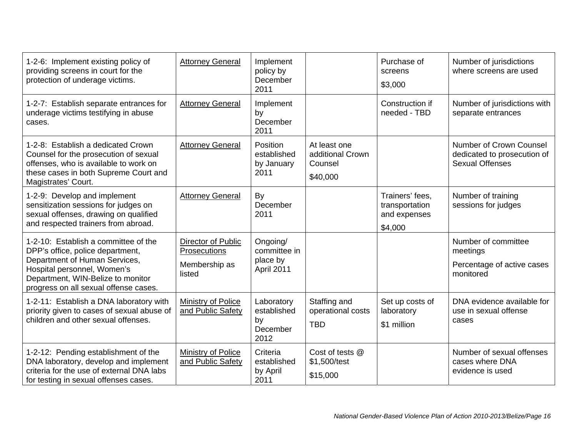| 1-2-6: Implement existing policy of<br>providing screens in court for the<br>protection of underage victims.                                                                                                           | <b>Attorney General</b>                                       | Implement<br>policy by<br>December<br>2011          |                                                         | Purchase of<br>screens<br>\$3,000                            | Number of jurisdictions<br>where screens are used                                |
|------------------------------------------------------------------------------------------------------------------------------------------------------------------------------------------------------------------------|---------------------------------------------------------------|-----------------------------------------------------|---------------------------------------------------------|--------------------------------------------------------------|----------------------------------------------------------------------------------|
| 1-2-7: Establish separate entrances for<br>underage victims testifying in abuse<br>cases.                                                                                                                              | <b>Attorney General</b>                                       | Implement<br>by<br>December<br>2011                 |                                                         | Construction if<br>needed - TBD                              | Number of jurisdictions with<br>separate entrances                               |
| 1-2-8: Establish a dedicated Crown<br>Counsel for the prosecution of sexual<br>offenses, who is available to work on<br>these cases in both Supreme Court and<br>Magistrates' Court.                                   | <b>Attorney General</b>                                       | Position<br>established<br>by January<br>2011       | At least one<br>additional Crown<br>Counsel<br>\$40,000 |                                                              | Number of Crown Counsel<br>dedicated to prosecution of<br><b>Sexual Offenses</b> |
| 1-2-9: Develop and implement<br>sensitization sessions for judges on<br>sexual offenses, drawing on qualified<br>and respected trainers from abroad.                                                                   | <b>Attorney General</b>                                       | By<br>December<br>2011                              |                                                         | Trainers' fees,<br>transportation<br>and expenses<br>\$4,000 | Number of training<br>sessions for judges                                        |
| 1-2-10: Establish a committee of the<br>DPP's office, police department,<br>Department of Human Services,<br>Hospital personnel, Women's<br>Department, WIN-Belize to monitor<br>progress on all sexual offense cases. | Director of Public<br>Prosecutions<br>Membership as<br>listed | Ongoing/<br>committee in<br>place by<br>April 2011  |                                                         |                                                              | Number of committee<br>meetings<br>Percentage of active cases<br>monitored       |
| 1-2-11: Establish a DNA laboratory with<br>priority given to cases of sexual abuse of<br>children and other sexual offenses.                                                                                           | <b>Ministry of Police</b><br>and Public Safety                | Laboratory<br>established<br>by<br>December<br>2012 | Staffing and<br>operational costs<br><b>TBD</b>         | Set up costs of<br>laboratory<br>\$1 million                 | DNA evidence available for<br>use in sexual offense<br>cases                     |
| 1-2-12: Pending establishment of the<br>DNA laboratory, develop and implement<br>criteria for the use of external DNA labs<br>for testing in sexual offenses cases.                                                    | Ministry of Police<br>and Public Safety                       | Criteria<br>established<br>by April<br>2011         | Cost of tests @<br>\$1,500/test<br>\$15,000             |                                                              | Number of sexual offenses<br>cases where DNA<br>evidence is used                 |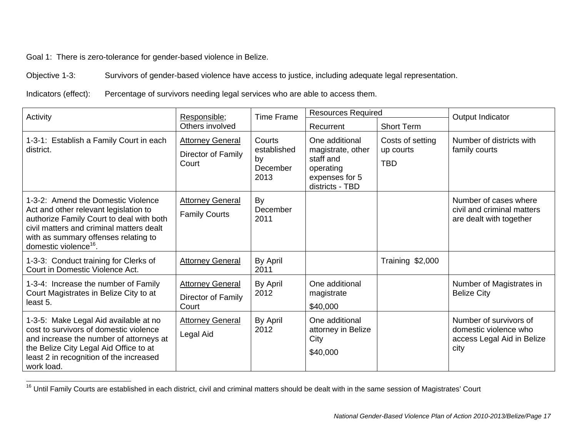Goal 1: There is zero-tolerance for gender-based violence in Belize.

Objective 1-3: Survivors of gender-based violence have access to justice, including adequate legal representation.

Indicators (effect): Percentage of survivors needing legal services who are able to access them.

| Activity                                                                                                                                                                                                                                         | Responsible;                                           | <b>Time Frame</b>                               | <b>Resources Required</b>                                                                          |                                             | Output Indicator                                                                      |
|--------------------------------------------------------------------------------------------------------------------------------------------------------------------------------------------------------------------------------------------------|--------------------------------------------------------|-------------------------------------------------|----------------------------------------------------------------------------------------------------|---------------------------------------------|---------------------------------------------------------------------------------------|
|                                                                                                                                                                                                                                                  | Others involved                                        |                                                 | Recurrent                                                                                          | <b>Short Term</b>                           |                                                                                       |
| 1-3-1: Establish a Family Court in each<br>district.                                                                                                                                                                                             | <b>Attorney General</b><br>Director of Family<br>Court | Courts<br>established<br>by<br>December<br>2013 | One additional<br>magistrate, other<br>staff and<br>operating<br>expenses for 5<br>districts - TBD | Costs of setting<br>up courts<br><b>TBD</b> | Number of districts with<br>family courts                                             |
| 1-3-2: Amend the Domestic Violence<br>Act and other relevant legislation to<br>authorize Family Court to deal with both<br>civil matters and criminal matters dealt<br>with as summary offenses relating to<br>domestic violence <sup>16</sup> . | <b>Attorney General</b><br><b>Family Courts</b>        | By<br>December<br>2011                          |                                                                                                    |                                             | Number of cases where<br>civil and criminal matters<br>are dealt with together        |
| 1-3-3: Conduct training for Clerks of<br>Court in Domestic Violence Act.                                                                                                                                                                         | <b>Attorney General</b>                                | By April<br>2011                                |                                                                                                    | Training \$2,000                            |                                                                                       |
| 1-3-4: Increase the number of Family<br>Court Magistrates in Belize City to at<br>least 5.                                                                                                                                                       | <b>Attorney General</b><br>Director of Family<br>Court | By April<br>2012                                | One additional<br>magistrate<br>\$40,000                                                           |                                             | Number of Magistrates in<br><b>Belize City</b>                                        |
| 1-3-5: Make Legal Aid available at no<br>cost to survivors of domestic violence<br>and increase the number of attorneys at<br>the Belize City Legal Aid Office to at<br>least 2 in recognition of the increased<br>work load.                    | <b>Attorney General</b><br>Legal Aid                   | By April<br>2012                                | One additional<br>attorney in Belize<br>City<br>\$40,000                                           |                                             | Number of survivors of<br>domestic violence who<br>access Legal Aid in Belize<br>city |

<sup>&</sup>lt;sup>16</sup> Until Family Courts are established in each district, civil and criminal matters should be dealt with in the same session of Magistrates' Court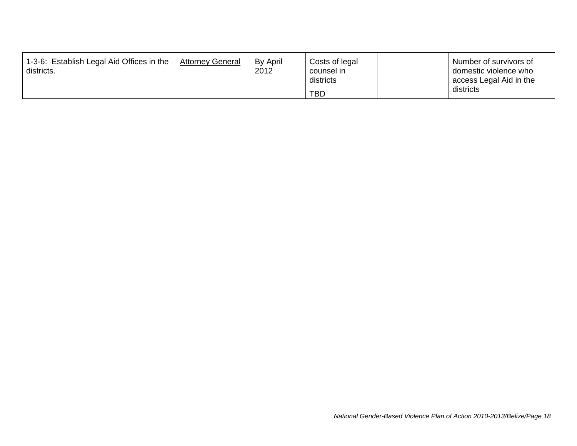| 1-3-6: Establish Legal Aid Offices in the<br>districts. | <b>Attorney General</b> | By April<br>2012 | Costs of legal<br>counsel in | Dumber of survivors of<br>domestic violence who |
|---------------------------------------------------------|-------------------------|------------------|------------------------------|-------------------------------------------------|
|                                                         |                         |                  | districts                    | Laccess Legal Aid in the                        |
|                                                         |                         |                  | TBD                          | districts                                       |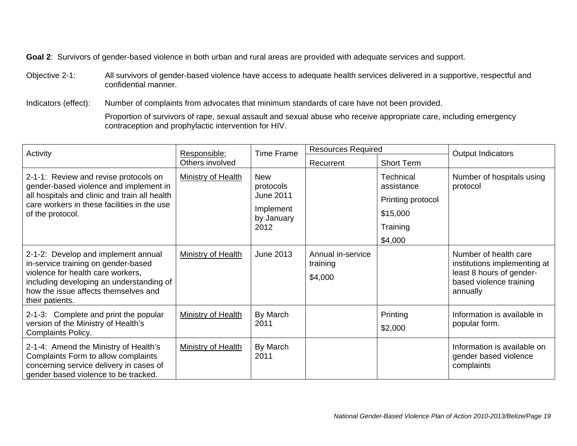Objective 2-1: All survivors of gender-based violence have access to adequate health services delivered in a supportive, respectful and confidential manner.

Indicators (effect): Number of complaints from advocates that minimum standards of care have not been provided.

Proportion of survivors of rape, sexual assault and sexual abuse who receive appropriate care, including emergency contraception and prophylactic intervention for HIV.

| Activity                                                                                                                                                                                                               | Responsible;              | <b>Time Frame</b>                                                              | <b>Resources Required</b>                |                                                                                 | Output Indicators                                                                                                        |
|------------------------------------------------------------------------------------------------------------------------------------------------------------------------------------------------------------------------|---------------------------|--------------------------------------------------------------------------------|------------------------------------------|---------------------------------------------------------------------------------|--------------------------------------------------------------------------------------------------------------------------|
|                                                                                                                                                                                                                        | Others involved           |                                                                                | Recurrent                                | <b>Short Term</b>                                                               |                                                                                                                          |
| 2-1-1: Review and revise protocols on<br>gender-based violence and implement in<br>all hospitals and clinic and train all health<br>care workers in these facilities in the use<br>of the protocol.                    | <b>Ministry of Health</b> | <b>New</b><br>protocols<br><b>June 2011</b><br>Implement<br>by January<br>2012 |                                          | Technical<br>assistance<br>Printing protocol<br>\$15,000<br>Training<br>\$4,000 | Number of hospitals using<br>protocol                                                                                    |
| 2-1-2: Develop and implement annual<br>in-service training on gender-based<br>violence for health care workers,<br>including developing an understanding of<br>how the issue affects themselves and<br>their patients. | <b>Ministry of Health</b> | June 2013                                                                      | Annual in-service<br>training<br>\$4,000 |                                                                                 | Number of health care<br>institutions implementing at<br>least 8 hours of gender-<br>based violence training<br>annually |
| 2-1-3: Complete and print the popular<br>version of the Ministry of Health's<br><b>Complaints Policy.</b>                                                                                                              | <b>Ministry of Health</b> | By March<br>2011                                                               |                                          | Printing<br>\$2,000                                                             | Information is available in<br>popular form.                                                                             |
| 2-1-4: Amend the Ministry of Health's<br>Complaints Form to allow complaints<br>concerning service delivery in cases of<br>gender based violence to be tracked.                                                        | <b>Ministry of Health</b> | By March<br>2011                                                               |                                          |                                                                                 | Information is available on<br>gender based violence<br>complaints                                                       |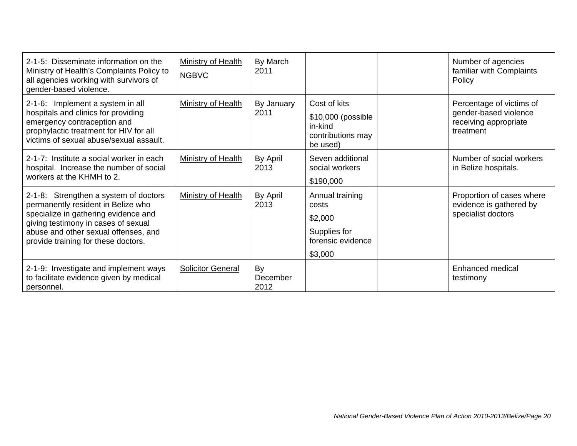| 2-1-5: Disseminate information on the<br>Ministry of Health's Complaints Policy to<br>all agencies working with survivors of<br>gender-based violence.                                                                                    | Ministry of Health<br><b>NGBVC</b> | By March<br>2011       |                                                                                     | Number of agencies<br>familiar with Complaints<br>Policy                                |
|-------------------------------------------------------------------------------------------------------------------------------------------------------------------------------------------------------------------------------------------|------------------------------------|------------------------|-------------------------------------------------------------------------------------|-----------------------------------------------------------------------------------------|
| 2-1-6: Implement a system in all<br>hospitals and clinics for providing<br>emergency contraception and<br>prophylactic treatment for HIV for all<br>victims of sexual abuse/sexual assault.                                               | <b>Ministry of Health</b>          | By January<br>2011     | Cost of kits<br>\$10,000 (possible<br>in-kind<br>contributions may<br>be used)      | Percentage of victims of<br>gender-based violence<br>receiving appropriate<br>treatment |
| 2-1-7: Institute a social worker in each<br>hospital. Increase the number of social<br>workers at the KHMH to 2.                                                                                                                          | <b>Ministry of Health</b>          | By April<br>2013       | Seven additional<br>social workers<br>\$190,000                                     | Number of social workers<br>in Belize hospitals.                                        |
| 2-1-8: Strengthen a system of doctors<br>permanently resident in Belize who<br>specialize in gathering evidence and<br>giving testimony in cases of sexual<br>abuse and other sexual offenses, and<br>provide training for these doctors. | Ministry of Health                 | By April<br>2013       | Annual training<br>costs<br>\$2,000<br>Supplies for<br>forensic evidence<br>\$3,000 | Proportion of cases where<br>evidence is gathered by<br>specialist doctors              |
| 2-1-9: Investigate and implement ways<br>to facilitate evidence given by medical<br>personnel.                                                                                                                                            | <b>Solicitor General</b>           | By<br>December<br>2012 |                                                                                     | <b>Enhanced medical</b><br>testimony                                                    |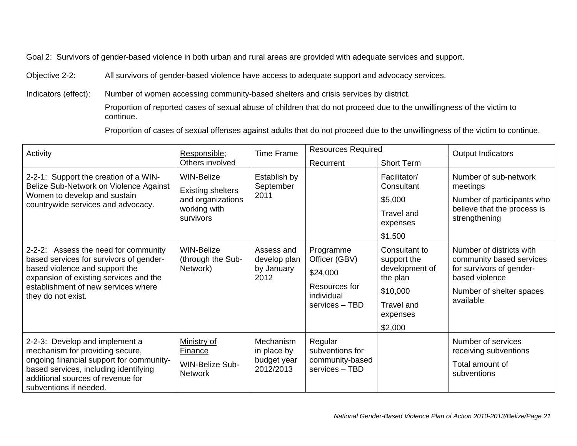Objective 2-2: All survivors of gender-based violence have access to adequate support and advocacy services.

Indicators (effect): Number of women accessing community-based shelters and crisis services by district.

 Proportion of reported cases of sexual abuse of children that do not proceed due to the unwillingness of the victim to continue.

Proportion of cases of sexual offenses against adults that do not proceed due to the unwillingness of the victim to continue.

| Activity                                                                                                                                                                                                                 | Responsible;                                                                                    | <b>Time Frame</b>                                           | <b>Resources Required</b>                                                               |                                                                                                                    | Output Indicators                                                                                                                           |
|--------------------------------------------------------------------------------------------------------------------------------------------------------------------------------------------------------------------------|-------------------------------------------------------------------------------------------------|-------------------------------------------------------------|-----------------------------------------------------------------------------------------|--------------------------------------------------------------------------------------------------------------------|---------------------------------------------------------------------------------------------------------------------------------------------|
|                                                                                                                                                                                                                          | Others involved                                                                                 |                                                             | Recurrent                                                                               | <b>Short Term</b>                                                                                                  |                                                                                                                                             |
| 2-2-1: Support the creation of a WIN-<br>Belize Sub-Network on Violence Against<br>Women to develop and sustain<br>countrywide services and advocacy.                                                                    | <b>WIN-Belize</b><br><b>Existing shelters</b><br>and organizations<br>working with<br>survivors | Establish by<br>September<br>2011                           |                                                                                         | Facilitator/<br>Consultant<br>\$5,000<br>Travel and<br>expenses<br>\$1,500                                         | Number of sub-network<br>meetings<br>Number of participants who<br>believe that the process is<br>strengthening                             |
| 2-2-2: Assess the need for community<br>based services for survivors of gender-<br>based violence and support the<br>expansion of existing services and the<br>establishment of new services where<br>they do not exist. | <b>WIN-Belize</b><br>(through the Sub-<br>Network)                                              | Assess and<br>develop plan<br>by January<br>2012            | Programme<br>Officer (GBV)<br>\$24,000<br>Resources for<br>individual<br>services - TBD | Consultant to<br>support the<br>development of<br>the plan<br>\$10,000<br><b>Travel and</b><br>expenses<br>\$2,000 | Number of districts with<br>community based services<br>for survivors of gender-<br>based violence<br>Number of shelter spaces<br>available |
| 2-2-3: Develop and implement a<br>mechanism for providing secure,<br>ongoing financial support for community-<br>based services, including identifying<br>additional sources of revenue for<br>subventions if needed.    | Ministry of<br><b>Finance</b><br><b>WIN-Belize Sub-</b><br><b>Network</b>                       | <b>Mechanism</b><br>in place by<br>budget year<br>2012/2013 | Regular<br>subventions for<br>community-based<br>services - TBD                         |                                                                                                                    | Number of services<br>receiving subventions<br>Total amount of<br>subventions                                                               |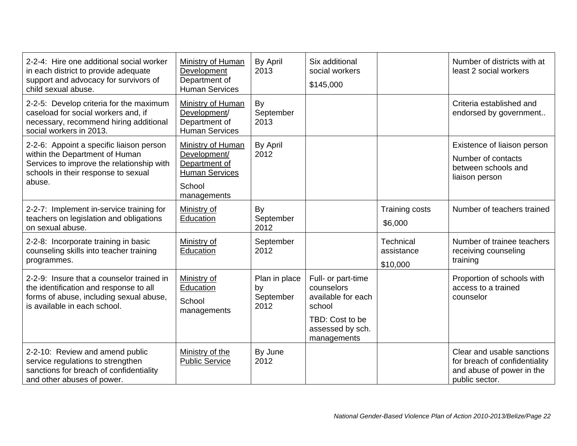| 2-2-4: Hire one additional social worker<br>in each district to provide adequate<br>support and advocacy for survivors of<br>child sexual abuse.                         | Ministry of Human<br>Development<br>Department of<br><b>Human Services</b>                           | By April<br>2013                         | Six additional<br>social workers<br>\$145,000                                                                          |                                     | Number of districts with at<br>least 2 social workers                                                      |
|--------------------------------------------------------------------------------------------------------------------------------------------------------------------------|------------------------------------------------------------------------------------------------------|------------------------------------------|------------------------------------------------------------------------------------------------------------------------|-------------------------------------|------------------------------------------------------------------------------------------------------------|
| 2-2-5: Develop criteria for the maximum<br>caseload for social workers and, if<br>necessary, recommend hiring additional<br>social workers in 2013.                      | Ministry of Human<br>Development/<br>Department of<br><b>Human Services</b>                          | By<br>September<br>2013                  |                                                                                                                        |                                     | Criteria established and<br>endorsed by government                                                         |
| 2-2-6: Appoint a specific liaison person<br>within the Department of Human<br>Services to improve the relationship with<br>schools in their response to sexual<br>abuse. | Ministry of Human<br>Development/<br>Department of<br><b>Human Services</b><br>School<br>managements | By April<br>2012                         |                                                                                                                        |                                     | Existence of liaison person<br>Number of contacts<br>between schools and<br>liaison person                 |
| 2-2-7: Implement in-service training for<br>teachers on legislation and obligations<br>on sexual abuse.                                                                  | Ministry of<br>Education                                                                             | By<br>September<br>2012                  |                                                                                                                        | Training costs<br>\$6,000           | Number of teachers trained                                                                                 |
| 2-2-8: Incorporate training in basic<br>counseling skills into teacher training<br>programmes.                                                                           | Ministry of<br>Education                                                                             | September<br>2012                        |                                                                                                                        | Technical<br>assistance<br>\$10,000 | Number of trainee teachers<br>receiving counseling<br>training                                             |
| 2-2-9: Insure that a counselor trained in<br>the identification and response to all<br>forms of abuse, including sexual abuse,<br>is available in each school.           | Ministry of<br>Education<br>School<br>managements                                                    | Plan in place<br>by<br>September<br>2012 | Full- or part-time<br>counselors<br>available for each<br>school<br>TBD: Cost to be<br>assessed by sch.<br>managements |                                     | Proportion of schools with<br>access to a trained<br>counselor                                             |
| 2-2-10: Review and amend public<br>service regulations to strengthen<br>sanctions for breach of confidentiality<br>and other abuses of power.                            | Ministry of the<br><b>Public Service</b>                                                             | By June<br>2012                          |                                                                                                                        |                                     | Clear and usable sanctions<br>for breach of confidentiality<br>and abuse of power in the<br>public sector. |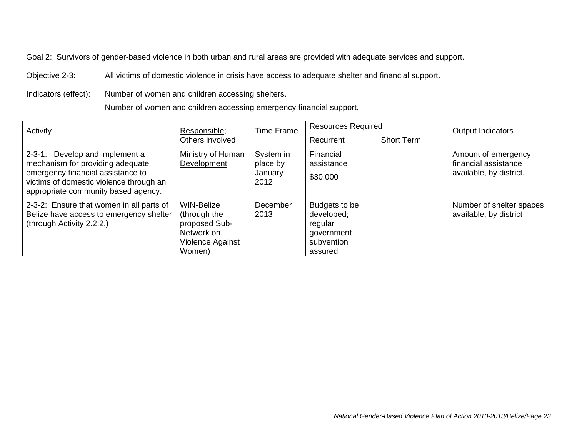Objective 2-3: All victims of domestic violence in crisis have access to adequate shelter and financial support.

Indicators (effect): Number of women and children accessing shelters.

Number of women and children accessing emergency financial support.

| Activity                                                                                                                                                                                  | Responsible;                                                                                   | <b>Resources Required</b><br><b>Time Frame</b> |                                                                               |                   | Output Indicators                                                      |
|-------------------------------------------------------------------------------------------------------------------------------------------------------------------------------------------|------------------------------------------------------------------------------------------------|------------------------------------------------|-------------------------------------------------------------------------------|-------------------|------------------------------------------------------------------------|
|                                                                                                                                                                                           | Others involved                                                                                |                                                | Recurrent                                                                     | <b>Short Term</b> |                                                                        |
| 2-3-1: Develop and implement a<br>mechanism for providing adequate<br>emergency financial assistance to<br>victims of domestic violence through an<br>appropriate community based agency. | Ministry of Human<br>Development                                                               | System in<br>place by<br>January<br>2012       | Financial<br>assistance<br>\$30,000                                           |                   | Amount of emergency<br>financial assistance<br>available, by district. |
| 2-3-2: Ensure that women in all parts of<br>Belize have access to emergency shelter<br>(through Activity 2.2.2.)                                                                          | <b>WIN-Belize</b><br>(through the<br>proposed Sub-<br>Network on<br>Violence Against<br>Women) | December<br>2013                               | Budgets to be<br>developed;<br>regular<br>government<br>subvention<br>assured |                   | Number of shelter spaces<br>available, by district                     |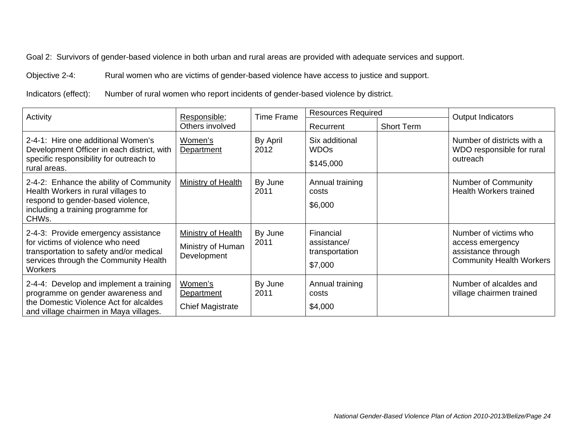Objective 2-4: Rural women who are victims of gender-based violence have access to justice and support.

Indicators (effect): Number of rural women who report incidents of gender-based violence by district.

| Activity                                                                                                                                                                      | Responsible;                                           | <b>Time Frame</b> | <b>Resources Required</b>                             |                   | Output Indicators                                                                                  |
|-------------------------------------------------------------------------------------------------------------------------------------------------------------------------------|--------------------------------------------------------|-------------------|-------------------------------------------------------|-------------------|----------------------------------------------------------------------------------------------------|
|                                                                                                                                                                               | Others involved                                        |                   | Recurrent                                             | <b>Short Term</b> |                                                                                                    |
| 2-4-1: Hire one additional Women's<br>Development Officer in each district, with<br>specific responsibility for outreach to<br>rural areas.                                   | Women's<br>Department                                  | By April<br>2012  | Six additional<br><b>WDOs</b><br>\$145,000            |                   | Number of districts with a<br>WDO responsible for rural<br>outreach                                |
| 2-4-2: Enhance the ability of Community<br>Health Workers in rural villages to<br>respond to gender-based violence,<br>including a training programme for<br>CHWs.            | Ministry of Health                                     | By June<br>2011   | Annual training<br>costs<br>\$6,000                   |                   | <b>Number of Community</b><br><b>Health Workers trained</b>                                        |
| 2-4-3: Provide emergency assistance<br>for victims of violence who need<br>transportation to safety and/or medical<br>services through the Community Health<br><b>Workers</b> | Ministry of Health<br>Ministry of Human<br>Development | By June<br>2011   | Financial<br>assistance/<br>transportation<br>\$7,000 |                   | Number of victims who<br>access emergency<br>assistance through<br><b>Community Health Workers</b> |
| 2-4-4: Develop and implement a training<br>programme on gender awareness and<br>the Domestic Violence Act for alcaldes<br>and village chairmen in Maya villages.              | Women's<br>Department<br><b>Chief Magistrate</b>       | By June<br>2011   | Annual training<br>costs<br>\$4,000                   |                   | Number of alcaldes and<br>village chairmen trained                                                 |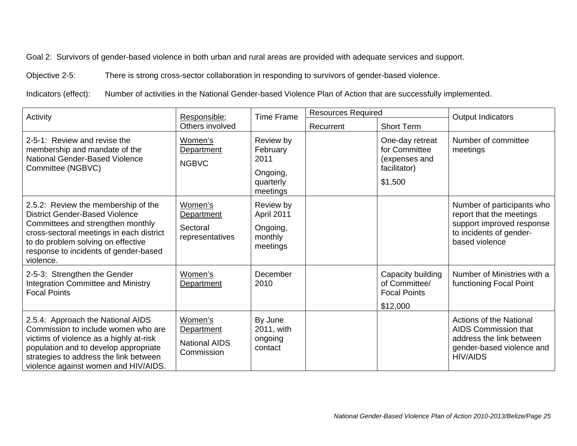Objective 2-5: There is strong cross-sector collaboration in responding to survivors of gender-based violence.

Indicators (effect): Number of activities in the National Gender-based Violence Plan of Action that are successfully implemented.

| Activity                                                                                                                                                                                                                                                  | Responsible;                                                |                                                                    | <b>Resources Required</b><br><b>Time Frame</b> |                                                                              | Output Indicators                                                                                                                |
|-----------------------------------------------------------------------------------------------------------------------------------------------------------------------------------------------------------------------------------------------------------|-------------------------------------------------------------|--------------------------------------------------------------------|------------------------------------------------|------------------------------------------------------------------------------|----------------------------------------------------------------------------------------------------------------------------------|
|                                                                                                                                                                                                                                                           | Others involved                                             |                                                                    | Recurrent                                      | <b>Short Term</b>                                                            |                                                                                                                                  |
| 2-5-1: Review and revise the<br>membership and mandate of the<br>National Gender-Based Violence<br>Committee (NGBVC)                                                                                                                                      | Women's<br>Department<br><b>NGBVC</b>                       | Review by<br>February<br>2011<br>Ongoing,<br>quarterly<br>meetings |                                                | One-day retreat<br>for Committee<br>(expenses and<br>facilitator)<br>\$1,500 | Number of committee<br>meetings                                                                                                  |
| 2.5.2: Review the membership of the<br><b>District Gender-Based Violence</b><br>Committees and strengthen monthly<br>cross-sectoral meetings in each district<br>to do problem solving on effective<br>response to incidents of gender-based<br>violence. | Women's<br>Department<br>Sectoral<br>representatives        | Review by<br>April 2011<br>Ongoing,<br>monthly<br>meetings         |                                                |                                                                              | Number of participants who<br>report that the meetings<br>support improved response<br>to incidents of gender-<br>based violence |
| 2-5-3: Strengthen the Gender<br><b>Integration Committee and Ministry</b><br><b>Focal Points</b>                                                                                                                                                          | Women's<br>Department                                       | December<br>2010                                                   |                                                | Capacity building<br>of Committee/<br><b>Focal Points</b><br>\$12,000        | Number of Ministries with a<br>functioning Focal Point                                                                           |
| 2.5.4: Approach the National AIDS<br>Commission to include women who are<br>victims of violence as a highly at-risk<br>population and to develop appropriate<br>strategies to address the link between<br>violence against women and HIV/AIDS.            | Women's<br>Department<br><b>National AIDS</b><br>Commission | By June<br>2011, with<br>ongoing<br>contact                        |                                                |                                                                              | Actions of the National<br>AIDS Commission that<br>address the link between<br>gender-based violence and<br><b>HIV/AIDS</b>      |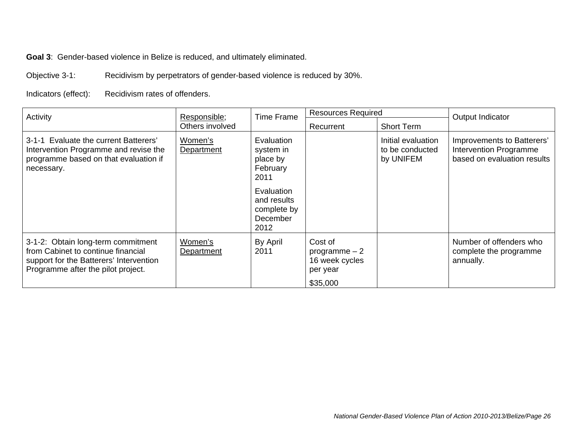**Goal 3**: Gender-based violence in Belize is reduced, and ultimately eliminated.

Objective 3-1: Recidivism by perpetrators of gender-based violence is reduced by 30%.

Indicators (effect): Recidivism rates of offenders.

| Activity                                                                                                                                                  | Responsible;<br>Others involved | <b>Time Frame</b>                                            | <b>Resources Required</b>                                           |                                                    | Output Indicator                                                                    |
|-----------------------------------------------------------------------------------------------------------------------------------------------------------|---------------------------------|--------------------------------------------------------------|---------------------------------------------------------------------|----------------------------------------------------|-------------------------------------------------------------------------------------|
|                                                                                                                                                           |                                 |                                                              | Recurrent                                                           | <b>Short Term</b>                                  |                                                                                     |
| 3-1-1 Evaluate the current Batterers'<br>Intervention Programme and revise the<br>programme based on that evaluation if<br>necessary.                     | Women's<br>Department           | Evaluation<br>system in<br>place by<br>February<br>2011      |                                                                     | Initial evaluation<br>to be conducted<br>by UNIFEM | Improvements to Batterers'<br>Intervention Programme<br>based on evaluation results |
|                                                                                                                                                           |                                 | Evaluation<br>and results<br>complete by<br>December<br>2012 |                                                                     |                                                    |                                                                                     |
| 3-1-2: Obtain long-term commitment<br>from Cabinet to continue financial<br>support for the Batterers' Intervention<br>Programme after the pilot project. | Women's<br>Department           | By April<br>2011                                             | Cost of<br>programme $-2$<br>16 week cycles<br>per year<br>\$35,000 |                                                    | Number of offenders who<br>complete the programme<br>annually.                      |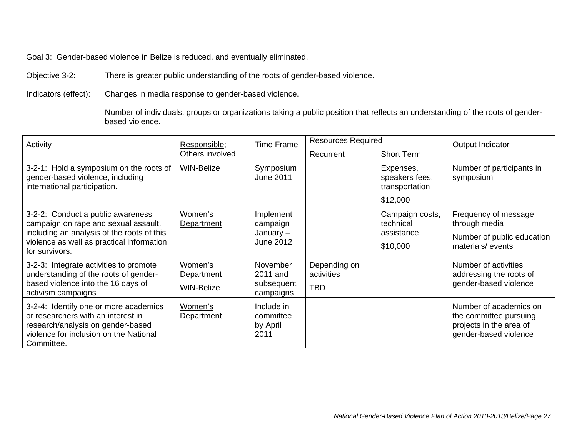Goal 3: Gender-based violence in Belize is reduced, and eventually eliminated.

Objective 3-2: There is greater public understanding of the roots of gender-based violence.

Indicators (effect): Changes in media response to gender-based violence.

 Number of individuals, groups or organizations taking a public position that reflects an understanding of the roots of genderbased violence.

| Activity                                                                                                                                                                               | Responsible;<br>Others involved            | <b>Time Frame</b>                                 | <b>Resources Required</b>                |                                                           | Output Indicator                                                                                     |
|----------------------------------------------------------------------------------------------------------------------------------------------------------------------------------------|--------------------------------------------|---------------------------------------------------|------------------------------------------|-----------------------------------------------------------|------------------------------------------------------------------------------------------------------|
|                                                                                                                                                                                        |                                            |                                                   | Recurrent                                | <b>Short Term</b>                                         |                                                                                                      |
| 3-2-1: Hold a symposium on the roots of<br>gender-based violence, including<br>international participation.                                                                            | <b>WIN-Belize</b>                          | Symposium<br>June 2011                            |                                          | Expenses,<br>speakers fees,<br>transportation<br>\$12,000 | Number of participants in<br>symposium                                                               |
| 3-2-2: Conduct a public awareness<br>campaign on rape and sexual assault,<br>including an analysis of the roots of this<br>violence as well as practical information<br>for survivors. | Women's<br>Department                      | Implement<br>campaign<br>January $-$<br>June 2012 |                                          | Campaign costs,<br>technical<br>assistance<br>\$10,000    | Frequency of message<br>through media<br>Number of public education<br>materials/events              |
| 3-2-3: Integrate activities to promote<br>understanding of the roots of gender-<br>based violence into the 16 days of<br>activism campaigns                                            | Women's<br>Department<br><b>WIN-Belize</b> | November<br>2011 and<br>subsequent<br>campaigns   | Depending on<br>activities<br><b>TBD</b> |                                                           | Number of activities<br>addressing the roots of<br>gender-based violence                             |
| 3-2-4: Identify one or more academics<br>or researchers with an interest in<br>research/analysis on gender-based<br>violence for inclusion on the National<br>Committee.               | Women's<br>Department                      | Include in<br>committee<br>by April<br>2011       |                                          |                                                           | Number of academics on<br>the committee pursuing<br>projects in the area of<br>gender-based violence |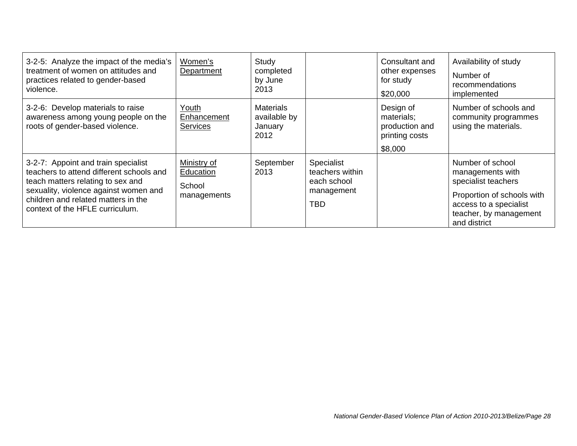| 3-2-5: Analyze the impact of the media's<br>treatment of women on attitudes and<br>practices related to gender-based<br>violence.                                                                                                       | Women's<br>Department                             | Study<br>completed<br>by June<br>2013               |                                                                   | Consultant and<br>other expenses<br>for study<br>\$20,000              | Availability of study<br>Number of<br>recommendations<br>implemented                                                                                          |
|-----------------------------------------------------------------------------------------------------------------------------------------------------------------------------------------------------------------------------------------|---------------------------------------------------|-----------------------------------------------------|-------------------------------------------------------------------|------------------------------------------------------------------------|---------------------------------------------------------------------------------------------------------------------------------------------------------------|
| 3-2-6: Develop materials to raise<br>awareness among young people on the<br>roots of gender-based violence.                                                                                                                             | Youth<br>Enhancement<br><b>Services</b>           | <b>Materials</b><br>available by<br>January<br>2012 |                                                                   | Design of<br>materials;<br>production and<br>printing costs<br>\$8,000 | Number of schools and<br>community programmes<br>using the materials.                                                                                         |
| 3-2-7: Appoint and train specialist<br>teachers to attend different schools and<br>teach matters relating to sex and<br>sexuality, violence against women and<br>children and related matters in the<br>context of the HFLE curriculum. | Ministry of<br>Education<br>School<br>managements | September<br>2013                                   | Specialist<br>teachers within<br>each school<br>management<br>TBD |                                                                        | Number of school<br>managements with<br>specialist teachers<br>Proportion of schools with<br>access to a specialist<br>teacher, by management<br>and district |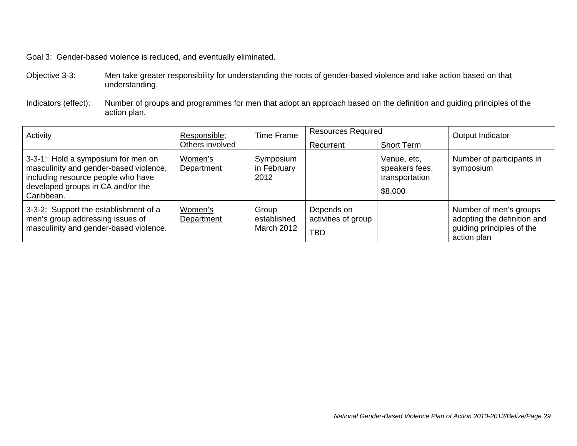Goal 3: Gender-based violence is reduced, and eventually eliminated.

- Objective 3-3: Men take greater responsibility for understanding the roots of gender-based violence and take action based on that understanding.
- Indicators (effect): Number of groups and programmes for men that adopt an approach based on the definition and guiding principles of the action plan.

| Activity<br>Responsible;<br>Others involved                                                                                                                           | <b>Time Frame</b>     |                                    | <b>Resources Required</b>                       |                                                            | Output Indicator                                                                                  |  |
|-----------------------------------------------------------------------------------------------------------------------------------------------------------------------|-----------------------|------------------------------------|-------------------------------------------------|------------------------------------------------------------|---------------------------------------------------------------------------------------------------|--|
|                                                                                                                                                                       |                       | Recurrent                          | <b>Short Term</b>                               |                                                            |                                                                                                   |  |
| 3-3-1: Hold a symposium for men on<br>masculinity and gender-based violence,<br>including resource people who have<br>developed groups in CA and/or the<br>Caribbean. | Women's<br>Department | Symposium<br>in February<br>2012   |                                                 | Venue, etc,<br>speakers fees,<br>transportation<br>\$8,000 | Number of participants in<br>symposium                                                            |  |
| 3-3-2: Support the establishment of a<br>men's group addressing issues of<br>masculinity and gender-based violence.                                                   | Women's<br>Department | Group<br>established<br>March 2012 | Depends on<br>activities of group<br><b>TBD</b> |                                                            | Number of men's groups<br>adopting the definition and<br>guiding principles of the<br>action plan |  |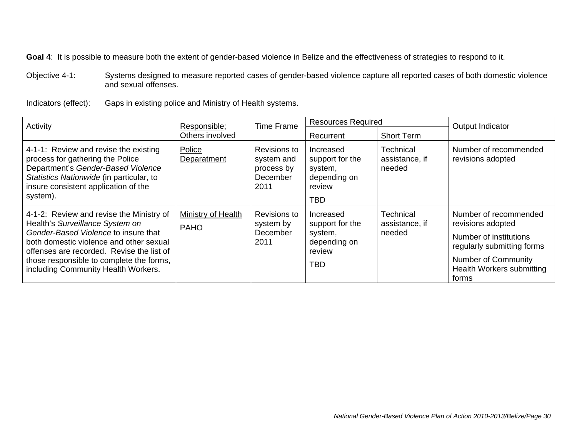Objective 4-1: Systems designed to measure reported cases of gender-based violence capture all reported cases of both domestic violence and sexual offenses.

Indicators (effect): Gaps in existing police and Ministry of Health systems.

| Activity                                                                                                                                                                                                                                                                                       | Responsible;                      | <b>Time Frame</b>                                            | <b>Resources Required</b>                                                       |                                       | Output Indicator                                                                                                                                                              |
|------------------------------------------------------------------------------------------------------------------------------------------------------------------------------------------------------------------------------------------------------------------------------------------------|-----------------------------------|--------------------------------------------------------------|---------------------------------------------------------------------------------|---------------------------------------|-------------------------------------------------------------------------------------------------------------------------------------------------------------------------------|
|                                                                                                                                                                                                                                                                                                | Others involved                   |                                                              | Recurrent                                                                       | <b>Short Term</b>                     |                                                                                                                                                                               |
| 4-1-1: Review and revise the existing<br>process for gathering the Police<br>Department's Gender-Based Violence<br>Statistics Nationwide (in particular, to<br>insure consistent application of the<br>system).                                                                                | Police<br>Deparatment             | Revisions to<br>system and<br>process by<br>December<br>2011 | Increased<br>support for the<br>system,<br>depending on<br>review<br><b>TBD</b> | Technical<br>assistance, if<br>needed | Number of recommended<br>revisions adopted                                                                                                                                    |
| 4-1-2: Review and revise the Ministry of<br>Health's Surveillance System on<br>Gender-Based Violence to insure that<br>both domestic violence and other sexual<br>offenses are recorded. Revise the list of<br>those responsible to complete the forms,<br>including Community Health Workers. | Ministry of Health<br><b>PAHO</b> | Revisions to<br>system by<br>December<br>2011                | Increased<br>support for the<br>system,<br>depending on<br>review<br><b>TBD</b> | Technical<br>assistance, if<br>needed | Number of recommended<br>revisions adopted<br>Number of institutions<br>regularly submitting forms<br><b>Number of Community</b><br><b>Health Workers submitting</b><br>forms |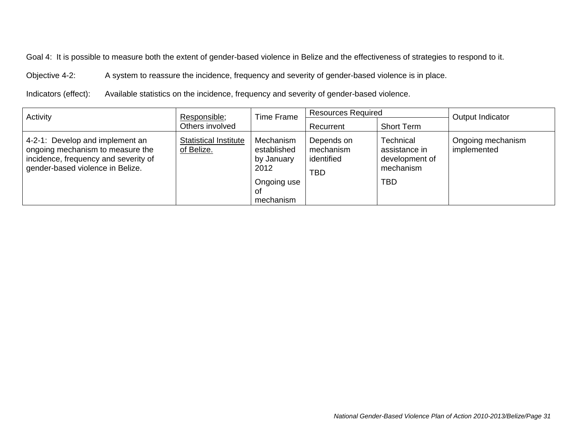Objective 4-2: A system to reassure the incidence, frequency and severity of gender-based violence is in place.

Indicators (effect): Available statistics on the incidence, frequency and severity of gender-based violence.

| Activity<br>Responsible;                                                                                                                        |                                            | <b>Resources Required</b><br><b>Time Frame</b>                                   |                                                     |                                                                                | Output Indicator                 |
|-------------------------------------------------------------------------------------------------------------------------------------------------|--------------------------------------------|----------------------------------------------------------------------------------|-----------------------------------------------------|--------------------------------------------------------------------------------|----------------------------------|
|                                                                                                                                                 | Others involved                            |                                                                                  | Recurrent                                           | Short Term                                                                     |                                  |
| 4-2-1: Develop and implement an<br>ongoing mechanism to measure the<br>incidence, frequency and severity of<br>gender-based violence in Belize. | <b>Statistical Institute</b><br>of Belize. | Mechanism<br>established<br>by January<br>2012<br>Ongoing use<br>OT<br>mechanism | Depends on<br>mechanism<br>identified<br><b>TBD</b> | <b>Technical</b><br>assistance in<br>development of<br>mechanism<br><b>TBD</b> | Ongoing mechanism<br>implemented |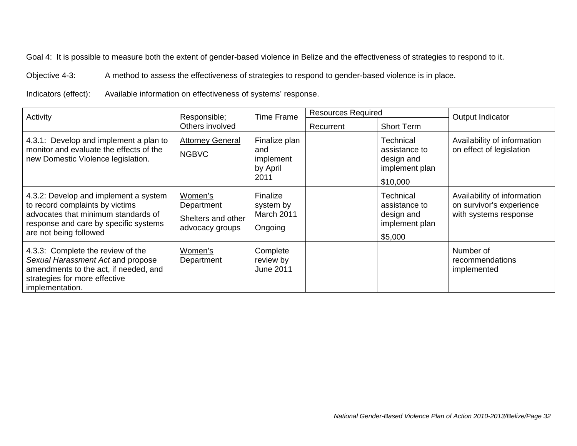Objective 4-3: A method to assess the effectiveness of strategies to respond to gender-based violence is in place.

Indicators (effect): Available information on effectiveness of systems' response.

| Activity                                                                                                                                                                           | Responsible;                                                   |                                                       | <b>Resources Required</b><br><b>Time Frame</b> |                                                                        | Output Indicator                                                                 |
|------------------------------------------------------------------------------------------------------------------------------------------------------------------------------------|----------------------------------------------------------------|-------------------------------------------------------|------------------------------------------------|------------------------------------------------------------------------|----------------------------------------------------------------------------------|
| Others involved                                                                                                                                                                    |                                                                | Recurrent                                             | <b>Short Term</b>                              |                                                                        |                                                                                  |
| 4.3.1: Develop and implement a plan to<br>monitor and evaluate the effects of the<br>new Domestic Violence legislation.                                                            | <b>Attorney General</b><br><b>NGBVC</b>                        | Finalize plan<br>and<br>implement<br>by April<br>2011 |                                                | Technical<br>assistance to<br>design and<br>implement plan<br>\$10,000 | Availability of information<br>on effect of legislation                          |
| 4.3.2: Develop and implement a system<br>to record complaints by victims<br>advocates that minimum standards of<br>response and care by specific systems<br>are not being followed | Women's<br>Department<br>Shelters and other<br>advocacy groups | Finalize<br>system by<br>March 2011<br>Ongoing        |                                                | Technical<br>assistance to<br>design and<br>implement plan<br>\$5,000  | Availability of information<br>on survivor's experience<br>with systems response |
| 4.3.3: Complete the review of the<br>Sexual Harassment Act and propose<br>amendments to the act, if needed, and<br>strategies for more effective<br>implementation.                | Women's<br>Department                                          | Complete<br>review by<br><b>June 2011</b>             |                                                |                                                                        | Number of<br>recommendations<br>implemented                                      |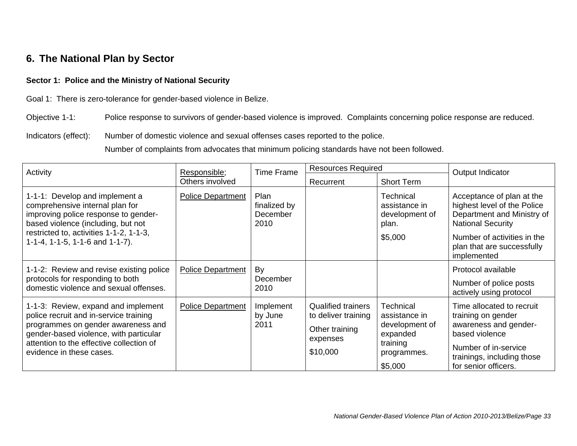### **6. The National Plan by Sector**

### **Sector 1: Police and the Ministry of National Security**

Goal 1: There is zero-tolerance for gender-based violence in Belize.

Objective 1-1: Police response to survivors of gender-based violence is improved. Complaints concerning police response are reduced.

Indicators (effect): Number of domestic violence and sexual offenses cases reported to the police.

Number of complaints from advocates that minimum policing standards have not been followed.

| Activity                                                                                                                                                                                                                              | Responsible;             |                                                 | <b>Resources Required</b><br><b>Time Frame</b>                                             |                                                                                                | Output Indicator                                                                                                                                                         |  |
|---------------------------------------------------------------------------------------------------------------------------------------------------------------------------------------------------------------------------------------|--------------------------|-------------------------------------------------|--------------------------------------------------------------------------------------------|------------------------------------------------------------------------------------------------|--------------------------------------------------------------------------------------------------------------------------------------------------------------------------|--|
|                                                                                                                                                                                                                                       | Others involved          |                                                 | Recurrent                                                                                  | <b>Short Term</b>                                                                              |                                                                                                                                                                          |  |
| 1-1-1: Develop and implement a<br>comprehensive internal plan for<br>improving police response to gender-<br>based violence (including, but not                                                                                       | <b>Police Department</b> | <b>Plan</b><br>finalized by<br>December<br>2010 |                                                                                            | <b>Technical</b><br>assistance in<br>development of<br>plan.                                   | Acceptance of plan at the<br>highest level of the Police<br>Department and Ministry of<br><b>National Security</b>                                                       |  |
| restricted to, activities 1-1-2, 1-1-3,<br>1-1-4, 1-1-5, 1-1-6 and 1-1-7).                                                                                                                                                            |                          |                                                 |                                                                                            | \$5,000                                                                                        | Number of activities in the<br>plan that are successfully<br>implemented                                                                                                 |  |
| 1-1-2: Review and revise existing police<br>protocols for responding to both<br>domestic violence and sexual offenses.                                                                                                                | <b>Police Department</b> | By<br>December<br>2010                          |                                                                                            |                                                                                                | Protocol available<br>Number of police posts<br>actively using protocol                                                                                                  |  |
| 1-1-3: Review, expand and implement<br>police recruit and in-service training<br>programmes on gender awareness and<br>gender-based violence, with particular<br>attention to the effective collection of<br>evidence in these cases. | Police Department        | Implement<br>by June<br>2011                    | <b>Qualified trainers</b><br>to deliver training<br>Other training<br>expenses<br>\$10,000 | Technical<br>assistance in<br>development of<br>expanded<br>training<br>programmes.<br>\$5,000 | Time allocated to recruit<br>training on gender<br>awareness and gender-<br>based violence<br>Number of in-service<br>trainings, including those<br>for senior officers. |  |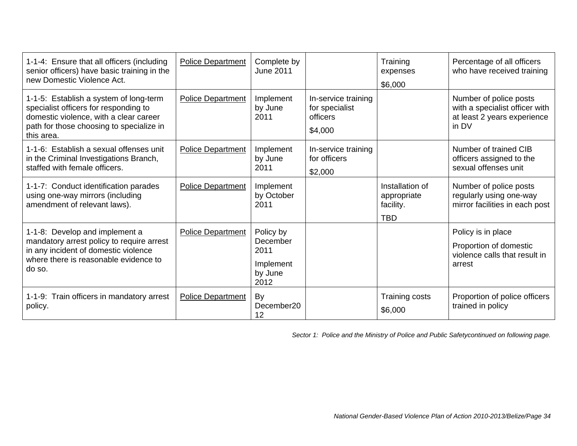| 1-1-4: Ensure that all officers (including<br>senior officers) have basic training in the<br>new Domestic Violence Act.                                                             | <b>Police Department</b> | Complete by<br><b>June 2011</b>                               |                                                              | Training<br>expenses<br>\$6,000                           | Percentage of all officers<br>who have received training                                         |
|-------------------------------------------------------------------------------------------------------------------------------------------------------------------------------------|--------------------------|---------------------------------------------------------------|--------------------------------------------------------------|-----------------------------------------------------------|--------------------------------------------------------------------------------------------------|
| 1-1-5: Establish a system of long-term<br>specialist officers for responding to<br>domestic violence, with a clear career<br>path for those choosing to specialize in<br>this area. | <b>Police Department</b> | Implement<br>by June<br>2011                                  | In-service training<br>for specialist<br>officers<br>\$4,000 |                                                           | Number of police posts<br>with a specialist officer with<br>at least 2 years experience<br>in DV |
| 1-1-6: Establish a sexual offenses unit<br>in the Criminal Investigations Branch,<br>staffed with female officers.                                                                  | <b>Police Department</b> | Implement<br>by June<br>2011                                  | In-service training<br>for officers<br>\$2,000               |                                                           | Number of trained CIB<br>officers assigned to the<br>sexual offenses unit                        |
| 1-1-7: Conduct identification parades<br>using one-way mirrors (including<br>amendment of relevant laws).                                                                           | <b>Police Department</b> | Implement<br>by October<br>2011                               |                                                              | Installation of<br>appropriate<br>facility.<br><b>TBD</b> | Number of police posts<br>regularly using one-way<br>mirror facilities in each post              |
| 1-1-8: Develop and implement a<br>mandatory arrest policy to require arrest<br>in any incident of domestic violence<br>where there is reasonable evidence to<br>do so.              | <b>Police Department</b> | Policy by<br>December<br>2011<br>Implement<br>by June<br>2012 |                                                              |                                                           | Policy is in place<br>Proportion of domestic<br>violence calls that result in<br>arrest          |
| 1-1-9: Train officers in mandatory arrest<br>policy.                                                                                                                                | <b>Police Department</b> | By<br>December20<br>12                                        |                                                              | Training costs<br>\$6,000                                 | Proportion of police officers<br>trained in policy                                               |

*Sector 1: Police and the Ministry of Police and Public Safetycontinued on following page.*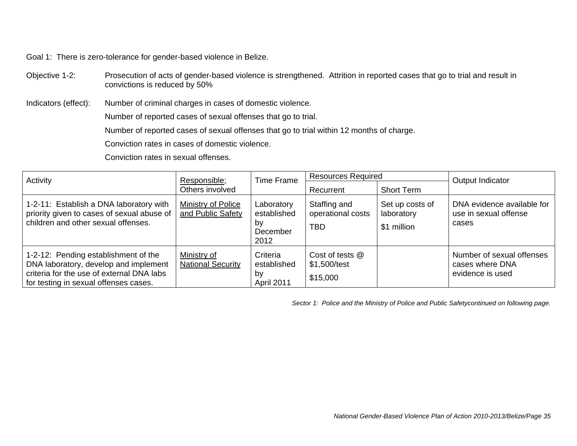Goal 1: There is zero-tolerance for gender-based violence in Belize.

Objective 1-2: Prosecution of acts of gender-based violence is strengthened. Attrition in reported cases that go to trial and result in convictions is reduced by 50%

Indicators (effect): Number of criminal charges in cases of domestic violence.

Number of reported cases of sexual offenses that go to trial.

Number of reported cases of sexual offenses that go to trial within 12 months of charge.

Conviction rates in cases of domestic violence.

Conviction rates in sexual offenses.

| Activity                                                                                                                                                            | Responsible;                            | <b>Time Frame</b>                                   | <b>Resources Required</b>                       |                                              | Output Indicator                                                 |
|---------------------------------------------------------------------------------------------------------------------------------------------------------------------|-----------------------------------------|-----------------------------------------------------|-------------------------------------------------|----------------------------------------------|------------------------------------------------------------------|
|                                                                                                                                                                     | Others involved                         |                                                     | Recurrent                                       | <b>Short Term</b>                            |                                                                  |
| 1-2-11: Establish a DNA laboratory with<br>priority given to cases of sexual abuse of<br>children and other sexual offenses.                                        | Ministry of Police<br>and Public Safety | Laboratory<br>established<br>by<br>December<br>2012 | Staffing and<br>operational costs<br><b>TBD</b> | Set up costs of<br>laboratory<br>\$1 million | DNA evidence available for<br>use in sexual offense<br>cases     |
| 1-2-12: Pending establishment of the<br>DNA laboratory, develop and implement<br>criteria for the use of external DNA labs<br>for testing in sexual offenses cases. | Ministry of<br><b>National Security</b> | Criteria<br>established<br>by<br>April 2011         | Cost of tests @<br>\$1,500/test<br>\$15,000     |                                              | Number of sexual offenses<br>cases where DNA<br>evidence is used |

*Sector 1: Police and the Ministry of Police and Public Safetycontinued on following page.*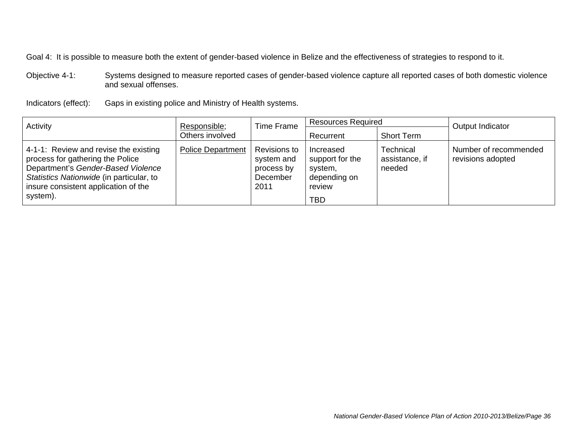Objective 4-1: Systems designed to measure reported cases of gender-based violence capture all reported cases of both domestic violence and sexual offenses.

Indicators (effect): Gaps in existing police and Ministry of Health systems.

| Activity                                                                                                                                                                                                        | Responsible;             | <b>Resources Required</b><br><b>Time Frame</b>               |                                                                                 |                                       | Output Indicator                           |
|-----------------------------------------------------------------------------------------------------------------------------------------------------------------------------------------------------------------|--------------------------|--------------------------------------------------------------|---------------------------------------------------------------------------------|---------------------------------------|--------------------------------------------|
|                                                                                                                                                                                                                 | Others involved          |                                                              | Recurrent                                                                       | <b>Short Term</b>                     |                                            |
| 4-1-1: Review and revise the existing<br>process for gathering the Police<br>Department's Gender-Based Violence<br>Statistics Nationwide (in particular, to<br>insure consistent application of the<br>system). | <b>Police Department</b> | Revisions to<br>system and<br>process by<br>December<br>2011 | Increased<br>support for the<br>system,<br>depending on<br>review<br><b>TBD</b> | Technical<br>assistance, if<br>needed | Number of recommended<br>revisions adopted |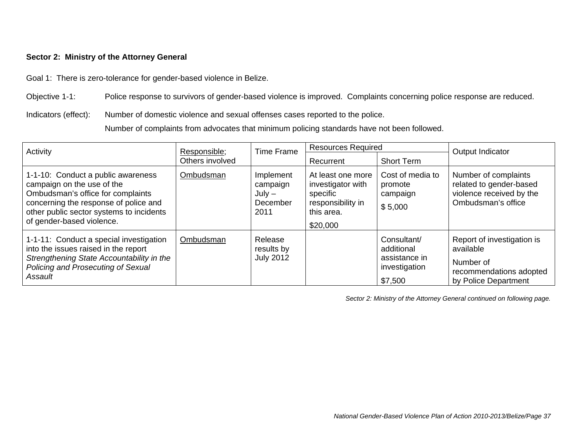### **Sector 2: Ministry of the Attorney General**

Goal 1: There is zero-tolerance for gender-based violence in Belize.

Objective 1-1: Police response to survivors of gender-based violence is improved. Complaints concerning police response are reduced.

Indicators (effect): Number of domestic violence and sexual offenses cases reported to the police.

Number of complaints from advocates that minimum policing standards have not been followed.

| Activity                                                                                                                                                                                                                | Responsible;    | <b>Time Frame</b>                                     | <b>Resources Required</b>                                                                         |                                                                        | Output Indicator                                                                                        |
|-------------------------------------------------------------------------------------------------------------------------------------------------------------------------------------------------------------------------|-----------------|-------------------------------------------------------|---------------------------------------------------------------------------------------------------|------------------------------------------------------------------------|---------------------------------------------------------------------------------------------------------|
|                                                                                                                                                                                                                         | Others involved |                                                       | Recurrent                                                                                         | <b>Short Term</b>                                                      |                                                                                                         |
| 1-1-10: Conduct a public awareness<br>campaign on the use of the<br>Ombudsman's office for complaints<br>concerning the response of police and<br>other public sector systems to incidents<br>of gender-based violence. | Ombudsman       | Implement<br>campaign<br>$July -$<br>December<br>2011 | At least one more<br>investigator with<br>specific<br>responsibility in<br>this area.<br>\$20,000 | Cost of media to<br>promote<br>campaign<br>\$5,000                     | Number of complaints<br>related to gender-based<br>violence received by the<br>Ombudsman's office       |
| 1-1-11: Conduct a special investigation<br>into the issues raised in the report<br>Strengthening State Accountability in the<br>Policing and Prosecuting of Sexual<br>Assault                                           | Ombudsman       | Release<br>results by<br><b>July 2012</b>             |                                                                                                   | Consultant/<br>additional<br>assistance in<br>investigation<br>\$7,500 | Report of investigation is<br>available<br>Number of<br>recommendations adopted<br>by Police Department |

*Sector 2: Ministry of the Attorney General continued on following page.*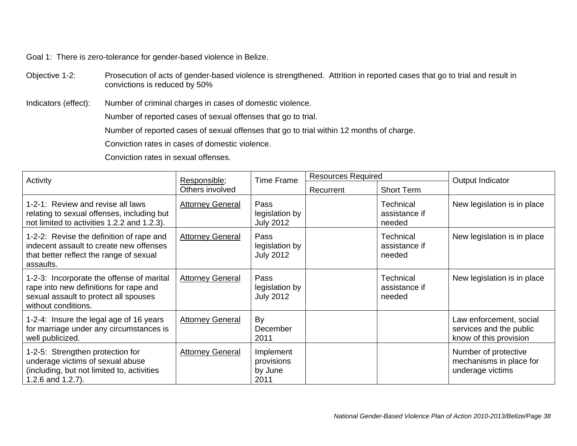Goal 1: There is zero-tolerance for gender-based violence in Belize.

Objective 1-2: Prosecution of acts of gender-based violence is strengthened. Attrition in reported cases that go to trial and result in convictions is reduced by 50%

Indicators (effect): Number of criminal charges in cases of domestic violence.

Number of reported cases of sexual offenses that go to trial.

Number of reported cases of sexual offenses that go to trial within 12 months of charge.

Conviction rates in cases of domestic violence.

Conviction rates in sexual offenses.

| Activity                                                                                                                                            | Responsible;            | <b>Time Frame</b>                          | <b>Resources Required</b> |                                             | Output Indicator                                                             |
|-----------------------------------------------------------------------------------------------------------------------------------------------------|-------------------------|--------------------------------------------|---------------------------|---------------------------------------------|------------------------------------------------------------------------------|
|                                                                                                                                                     | Others involved         |                                            | Recurrent                 | <b>Short Term</b>                           |                                                                              |
| 1-2-1: Review and revise all laws<br>relating to sexual offenses, including but<br>not limited to activities 1.2.2 and 1.2.3).                      | <b>Attorney General</b> | Pass<br>legislation by<br><b>July 2012</b> |                           | Technical<br>assistance if<br>needed        | New legislation is in place                                                  |
| 1-2-2: Revise the definition of rape and<br>indecent assault to create new offenses<br>that better reflect the range of sexual<br>assaults.         | <b>Attorney General</b> | Pass<br>legislation by<br><b>July 2012</b> |                           | Technical<br>assistance if<br>needed        | New legislation is in place                                                  |
| 1-2-3: Incorporate the offense of marital<br>rape into new definitions for rape and<br>sexual assault to protect all spouses<br>without conditions. | <b>Attorney General</b> | Pass<br>legislation by<br><b>July 2012</b> |                           | <b>Technical</b><br>assistance if<br>needed | New legislation is in place                                                  |
| 1-2-4: Insure the legal age of 16 years<br>for marriage under any circumstances is<br>well publicized.                                              | <b>Attorney General</b> | By<br>December<br>2011                     |                           |                                             | Law enforcement, social<br>services and the public<br>know of this provision |
| 1-2-5: Strengthen protection for<br>underage victims of sexual abuse<br>(including, but not limited to, activities<br>1.2.6 and $1.2.7$ ).          | <b>Attorney General</b> | Implement<br>provisions<br>by June<br>2011 |                           |                                             | Number of protective<br>mechanisms in place for<br>underage victims          |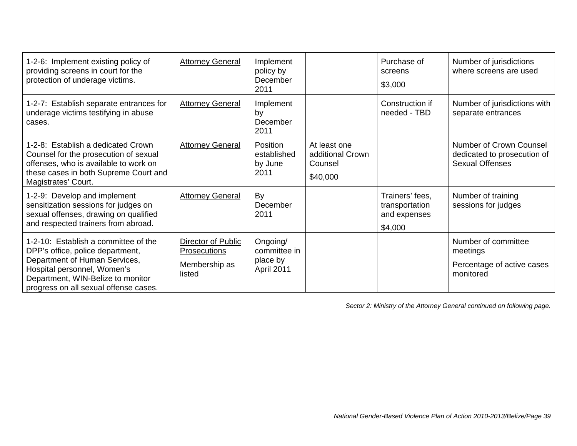| 1-2-6: Implement existing policy of<br>providing screens in court for the<br>protection of underage victims.                                                                                                           | <b>Attorney General</b>                                       | Implement<br>policy by<br>December<br>2011         |                                                         | Purchase of<br>screens<br>\$3,000                            | Number of jurisdictions<br>where screens are used                                |
|------------------------------------------------------------------------------------------------------------------------------------------------------------------------------------------------------------------------|---------------------------------------------------------------|----------------------------------------------------|---------------------------------------------------------|--------------------------------------------------------------|----------------------------------------------------------------------------------|
| 1-2-7: Establish separate entrances for<br>underage victims testifying in abuse<br>cases.                                                                                                                              | <b>Attorney General</b>                                       | Implement<br>by<br>December<br>2011                |                                                         | Construction if<br>needed - TBD                              | Number of jurisdictions with<br>separate entrances                               |
| 1-2-8: Establish a dedicated Crown<br>Counsel for the prosecution of sexual<br>offenses, who is available to work on<br>these cases in both Supreme Court and<br>Magistrates' Court.                                   | <b>Attorney General</b>                                       | Position<br>established<br>by June<br>2011         | At least one<br>additional Crown<br>Counsel<br>\$40,000 |                                                              | Number of Crown Counsel<br>dedicated to prosecution of<br><b>Sexual Offenses</b> |
| 1-2-9: Develop and implement<br>sensitization sessions for judges on<br>sexual offenses, drawing on qualified<br>and respected trainers from abroad.                                                                   | <b>Attorney General</b>                                       | By<br>December<br>2011                             |                                                         | Trainers' fees,<br>transportation<br>and expenses<br>\$4,000 | Number of training<br>sessions for judges                                        |
| 1-2-10: Establish a committee of the<br>DPP's office, police department,<br>Department of Human Services,<br>Hospital personnel, Women's<br>Department, WIN-Belize to monitor<br>progress on all sexual offense cases. | Director of Public<br>Prosecutions<br>Membership as<br>listed | Ongoing/<br>committee in<br>place by<br>April 2011 |                                                         |                                                              | Number of committee<br>meetings<br>Percentage of active cases<br>monitored       |

*Sector 2: Ministry of the Attorney General continued on following page.*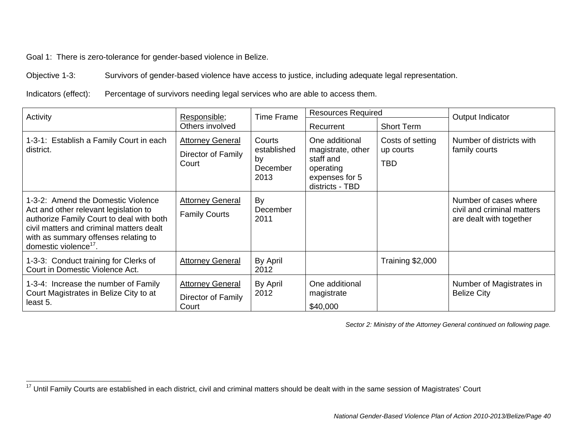Goal 1: There is zero-tolerance for gender-based violence in Belize.

Objective 1-3: Survivors of gender-based violence have access to justice, including adequate legal representation.

Indicators (effect): Percentage of survivors needing legal services who are able to access them.

| Activity                                                                                                                                                                                                                                         | <b>Time Frame</b><br>Responsible;                      |                                                 | <b>Resources Required</b>                                                                          |                                             | Output Indicator                                                               |
|--------------------------------------------------------------------------------------------------------------------------------------------------------------------------------------------------------------------------------------------------|--------------------------------------------------------|-------------------------------------------------|----------------------------------------------------------------------------------------------------|---------------------------------------------|--------------------------------------------------------------------------------|
|                                                                                                                                                                                                                                                  | Others involved                                        |                                                 | Recurrent                                                                                          | <b>Short Term</b>                           |                                                                                |
| 1-3-1: Establish a Family Court in each<br>district.                                                                                                                                                                                             | <b>Attorney General</b><br>Director of Family<br>Court | Courts<br>established<br>by<br>December<br>2013 | One additional<br>magistrate, other<br>staff and<br>operating<br>expenses for 5<br>districts - TBD | Costs of setting<br>up courts<br><b>TBD</b> | Number of districts with<br>family courts                                      |
| 1-3-2: Amend the Domestic Violence<br>Act and other relevant legislation to<br>authorize Family Court to deal with both<br>civil matters and criminal matters dealt<br>with as summary offenses relating to<br>domestic violence <sup>17</sup> . | <b>Attorney General</b><br><b>Family Courts</b>        | By<br>December<br>2011                          |                                                                                                    |                                             | Number of cases where<br>civil and criminal matters<br>are dealt with together |
| 1-3-3: Conduct training for Clerks of<br>Court in Domestic Violence Act.                                                                                                                                                                         | <b>Attorney General</b>                                | By April<br>2012                                |                                                                                                    | Training \$2,000                            |                                                                                |
| 1-3-4: Increase the number of Family<br>Court Magistrates in Belize City to at<br>least 5.                                                                                                                                                       | <b>Attorney General</b><br>Director of Family<br>Court | By April<br>2012                                | One additional<br>magistrate<br>\$40,000                                                           |                                             | Number of Magistrates in<br><b>Belize City</b>                                 |

*Sector 2: Ministry of the Attorney General continued on following page.* 

<sup>&</sup>lt;sup>17</sup> Until Family Courts are established in each district, civil and criminal matters should be dealt with in the same session of Magistrates' Court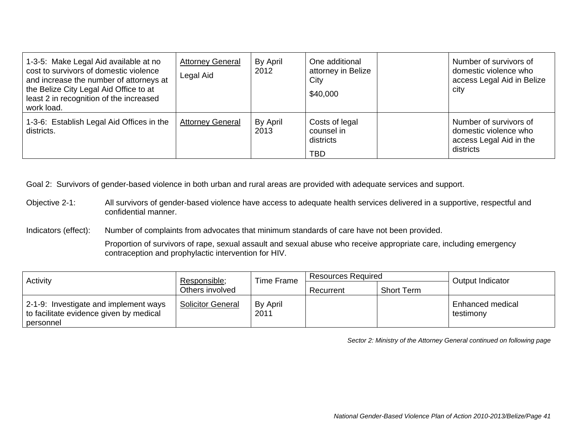| 1-3-5: Make Legal Aid available at no<br>cost to survivors of domestic violence<br>and increase the number of attorneys at<br>the Belize City Legal Aid Office to at<br>least 2 in recognition of the increased<br>work load. | <b>Attorney General</b><br>Legal Aid | By April<br>2012 | One additional<br>attorney in Belize<br>City<br>\$40,000 | Number of survivors of<br>domestic violence who<br>access Legal Aid in Belize<br>city   |
|-------------------------------------------------------------------------------------------------------------------------------------------------------------------------------------------------------------------------------|--------------------------------------|------------------|----------------------------------------------------------|-----------------------------------------------------------------------------------------|
| 1-3-6: Establish Legal Aid Offices in the<br>districts.                                                                                                                                                                       | <b>Attorney General</b>              | By April<br>2013 | Costs of legal<br>counsel in<br>districts<br><b>TBD</b>  | Number of survivors of<br>domestic violence who<br>access Legal Aid in the<br>districts |

Objective 2-1: All survivors of gender-based violence have access to adequate health services delivered in a supportive, respectful and confidential manner.

Indicators (effect): Number of complaints from advocates that minimum standards of care have not been provided.

Proportion of survivors of rape, sexual assault and sexual abuse who receive appropriate care, including emergency contraception and prophylactic intervention for HIV.

| Activity                                                                                      | Time Frame<br>Responsible; |                  | Resources Required |                   | Output Indicator              |
|-----------------------------------------------------------------------------------------------|----------------------------|------------------|--------------------|-------------------|-------------------------------|
|                                                                                               | Others involved            |                  | Recurrent          | <b>Short Term</b> |                               |
| 2-1-9: Investigate and implement ways<br>to facilitate evidence given by medical<br>personnel | <b>Solicitor General</b>   | By April<br>2011 |                    |                   | Enhanced medical<br>testimony |

*Sector 2: Ministry of the Attorney General continued on following page*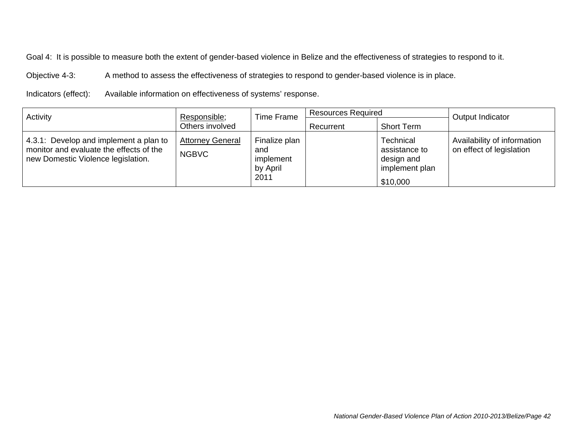Objective 4-3: A method to assess the effectiveness of strategies to respond to gender-based violence is in place.

Indicators (effect): Available information on effectiveness of systems' response.

| Activity                                                                                                                | Responsible;                            | Time Frame                                            | <b>Resources Required</b> |                                                                        | Output Indicator                                        |
|-------------------------------------------------------------------------------------------------------------------------|-----------------------------------------|-------------------------------------------------------|---------------------------|------------------------------------------------------------------------|---------------------------------------------------------|
|                                                                                                                         | Others involved                         |                                                       | Recurrent                 | <b>Short Term</b>                                                      |                                                         |
| 4.3.1: Develop and implement a plan to<br>monitor and evaluate the effects of the<br>new Domestic Violence legislation. | <b>Attorney General</b><br><b>NGBVC</b> | Finalize plan<br>and<br>implement<br>by April<br>2011 |                           | Technical<br>assistance to<br>design and<br>implement plan<br>\$10,000 | Availability of information<br>on effect of legislation |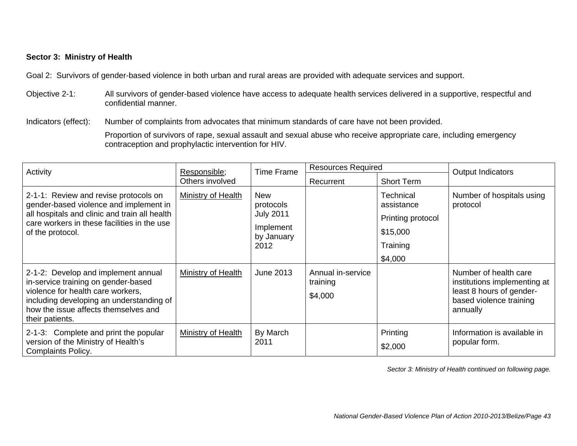#### **Sector 3: Ministry of Health**

Goal 2: Survivors of gender-based violence in both urban and rural areas are provided with adequate services and support.

Objective 2-1: All survivors of gender-based violence have access to adequate health services delivered in a supportive, respectful and confidential manner.

Indicators (effect): Number of complaints from advocates that minimum standards of care have not been provided.

Proportion of survivors of rape, sexual assault and sexual abuse who receive appropriate care, including emergency contraception and prophylactic intervention for HIV.

| Activity                                                                                                                                                                                                               | <b>Time Frame</b><br>Responsible; | <b>Resources Required</b>                                                      |                                          | Output Indicators                                                                      |                                                                                                                          |
|------------------------------------------------------------------------------------------------------------------------------------------------------------------------------------------------------------------------|-----------------------------------|--------------------------------------------------------------------------------|------------------------------------------|----------------------------------------------------------------------------------------|--------------------------------------------------------------------------------------------------------------------------|
|                                                                                                                                                                                                                        | Others involved                   |                                                                                | Recurrent                                | <b>Short Term</b>                                                                      |                                                                                                                          |
| 2-1-1: Review and revise protocols on<br>gender-based violence and implement in<br>all hospitals and clinic and train all health<br>care workers in these facilities in the use<br>of the protocol.                    | Ministry of Health                | <b>New</b><br>protocols<br><b>July 2011</b><br>Implement<br>by January<br>2012 |                                          | <b>Technical</b><br>assistance<br>Printing protocol<br>\$15,000<br>Training<br>\$4,000 | Number of hospitals using<br>protocol                                                                                    |
| 2-1-2: Develop and implement annual<br>in-service training on gender-based<br>violence for health care workers,<br>including developing an understanding of<br>how the issue affects themselves and<br>their patients. | Ministry of Health                | June 2013                                                                      | Annual in-service<br>training<br>\$4,000 |                                                                                        | Number of health care<br>institutions implementing at<br>least 8 hours of gender-<br>based violence training<br>annually |
| 2-1-3: Complete and print the popular<br>version of the Ministry of Health's<br><b>Complaints Policy.</b>                                                                                                              | Ministry of Health                | By March<br>2011                                                               |                                          | Printing<br>\$2,000                                                                    | Information is available in<br>popular form.                                                                             |

*Sector 3: Ministry of Health continued on following page.*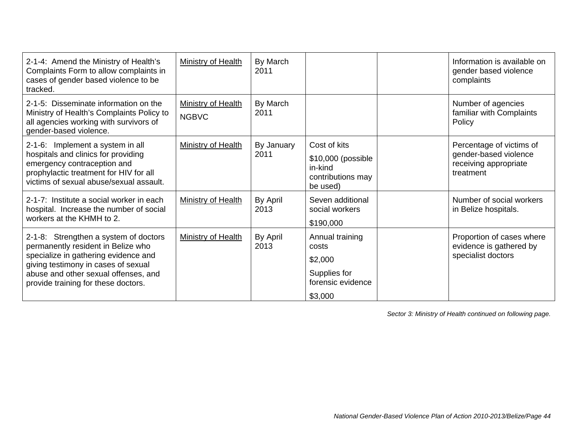| 2-1-4: Amend the Ministry of Health's<br>Complaints Form to allow complaints in<br>cases of gender based violence to be<br>tracked.                        | <b>Ministry of Health</b>                 | By March<br>2011 |                                                                | Information is available on<br>gender based violence<br>complaints         |
|------------------------------------------------------------------------------------------------------------------------------------------------------------|-------------------------------------------|------------------|----------------------------------------------------------------|----------------------------------------------------------------------------|
| 2-1-5: Disseminate information on the<br>Ministry of Health's Complaints Policy to<br>all agencies working with survivors of<br>gender-based violence.     | <b>Ministry of Health</b><br><b>NGBVC</b> | By March<br>2011 |                                                                | Number of agencies<br>familiar with Complaints<br>Policy                   |
| 2-1-6: Implement a system in all                                                                                                                           | <b>Ministry of Health</b>                 | By January       | Cost of kits                                                   | Percentage of victims of                                                   |
| hospitals and clinics for providing<br>emergency contraception and<br>prophylactic treatment for HIV for all<br>victims of sexual abuse/sexual assault.    |                                           | 2011             | \$10,000 (possible<br>in-kind<br>contributions may<br>be used) | gender-based violence<br>receiving appropriate<br>treatment                |
| 2-1-7: Institute a social worker in each<br>hospital. Increase the number of social<br>workers at the KHMH to 2.                                           | Ministry of Health                        | By April<br>2013 | Seven additional<br>social workers<br>\$190,000                | Number of social workers<br>in Belize hospitals.                           |
| 2-1-8: Strengthen a system of doctors<br>permanently resident in Belize who<br>specialize in gathering evidence and<br>giving testimony in cases of sexual | <b>Ministry of Health</b>                 | By April<br>2013 | Annual training<br>costs<br>\$2,000                            | Proportion of cases where<br>evidence is gathered by<br>specialist doctors |
| abuse and other sexual offenses, and<br>provide training for these doctors.                                                                                |                                           |                  | Supplies for<br>forensic evidence                              |                                                                            |
|                                                                                                                                                            |                                           |                  | \$3,000                                                        |                                                                            |

*Sector 3: Ministry of Health continued on following page.*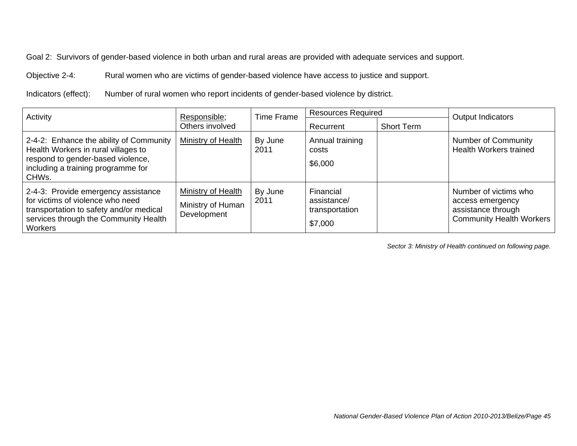Objective 2-4: Rural women who are victims of gender-based violence have access to justice and support.

Indicators (effect): Number of rural women who report incidents of gender-based violence by district.

| Activity                                                                                                                                                                      | Responsible;<br>Others involved                        | <b>Time Frame</b> | <b>Resources Required</b><br>Recurrent                | <b>Short Term</b> | Output Indicators                                                                                  |
|-------------------------------------------------------------------------------------------------------------------------------------------------------------------------------|--------------------------------------------------------|-------------------|-------------------------------------------------------|-------------------|----------------------------------------------------------------------------------------------------|
| 2-4-2: Enhance the ability of Community<br>Health Workers in rural villages to<br>respond to gender-based violence,<br>including a training programme for<br>CHWs.            | Ministry of Health                                     | By June<br>2011   | Annual training<br>costs<br>\$6,000                   |                   | <b>Number of Community</b><br><b>Health Workers trained</b>                                        |
| 2-4-3: Provide emergency assistance<br>for victims of violence who need<br>transportation to safety and/or medical<br>services through the Community Health<br><b>Workers</b> | Ministry of Health<br>Ministry of Human<br>Development | By June<br>2011   | Financial<br>assistance/<br>transportation<br>\$7,000 |                   | Number of victims who<br>access emergency<br>assistance through<br><b>Community Health Workers</b> |

*Sector 3: Ministry of Health continued on following page.*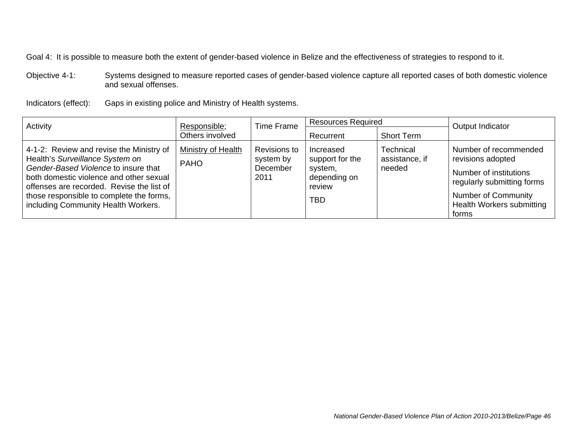Objective 4-1: Systems designed to measure reported cases of gender-based violence capture all reported cases of both domestic violence and sexual offenses.

Indicators (effect): Gaps in existing police and Ministry of Health systems.

| Activity                                                                                                                                                                                                                                                                                       | Responsible;                      | Time Frame                                           |                                                                          | <b>Resources Required</b>             | Output Indicator                                                                                                                                                       |
|------------------------------------------------------------------------------------------------------------------------------------------------------------------------------------------------------------------------------------------------------------------------------------------------|-----------------------------------|------------------------------------------------------|--------------------------------------------------------------------------|---------------------------------------|------------------------------------------------------------------------------------------------------------------------------------------------------------------------|
|                                                                                                                                                                                                                                                                                                | Others involved                   |                                                      | Recurrent                                                                | Short Term                            |                                                                                                                                                                        |
| 4-1-2: Review and revise the Ministry of<br>Health's Surveillance System on<br>Gender-Based Violence to insure that<br>both domestic violence and other sexual<br>offenses are recorded. Revise the list of<br>those responsible to complete the forms,<br>including Community Health Workers. | Ministry of Health<br><b>PAHO</b> | Revisions to<br>system by<br><b>December</b><br>2011 | Increased<br>support for the<br>system,<br>depending on<br>review<br>TBD | Technical<br>assistance, if<br>needed | Number of recommended<br>revisions adopted<br>Number of institutions<br>regularly submitting forms<br><b>Number of Community</b><br>Health Workers submitting<br>forms |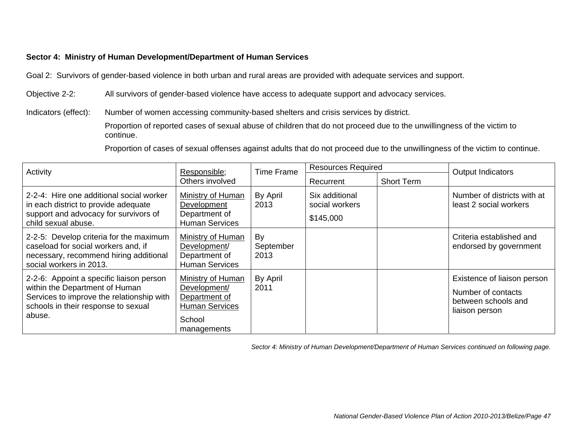### **Sector 4: Ministry of Human Development/Department of Human Services**

Goal 2: Survivors of gender-based violence in both urban and rural areas are provided with adequate services and support.

Objective 2-2: All survivors of gender-based violence have access to adequate support and advocacy services.

Indicators (effect): Number of women accessing community-based shelters and crisis services by district.

 Proportion of reported cases of sexual abuse of children that do not proceed due to the unwillingness of the victim to continue.

Proportion of cases of sexual offenses against adults that do not proceed due to the unwillingness of the victim to continue.

| Activity                                                                                                                                                                 | <b>Time Frame</b><br>Responsible;                                                                    | <b>Resources Required</b> |                                               | Output Indicators |                                                                                            |
|--------------------------------------------------------------------------------------------------------------------------------------------------------------------------|------------------------------------------------------------------------------------------------------|---------------------------|-----------------------------------------------|-------------------|--------------------------------------------------------------------------------------------|
|                                                                                                                                                                          | Others involved                                                                                      |                           | Recurrent                                     | <b>Short Term</b> |                                                                                            |
| 2-2-4: Hire one additional social worker<br>in each district to provide adequate<br>support and advocacy for survivors of<br>child sexual abuse.                         | Ministry of Human<br>Development<br>Department of<br><b>Human Services</b>                           | By April<br>2013          | Six additional<br>social workers<br>\$145,000 |                   | Number of districts with at<br>least 2 social workers                                      |
| 2-2-5: Develop criteria for the maximum<br>caseload for social workers and, if<br>necessary, recommend hiring additional<br>social workers in 2013.                      | Ministry of Human<br>Development/<br>Department of<br><b>Human Services</b>                          | By<br>September<br>2013   |                                               |                   | Criteria established and<br>endorsed by government                                         |
| 2-2-6: Appoint a specific liaison person<br>within the Department of Human<br>Services to improve the relationship with<br>schools in their response to sexual<br>abuse. | Ministry of Human<br>Development/<br>Department of<br><b>Human Services</b><br>School<br>managements | By April<br>2011          |                                               |                   | Existence of liaison person<br>Number of contacts<br>between schools and<br>liaison person |

*Sector 4: Ministry of Human Development/Department of Human Services continued on following page.*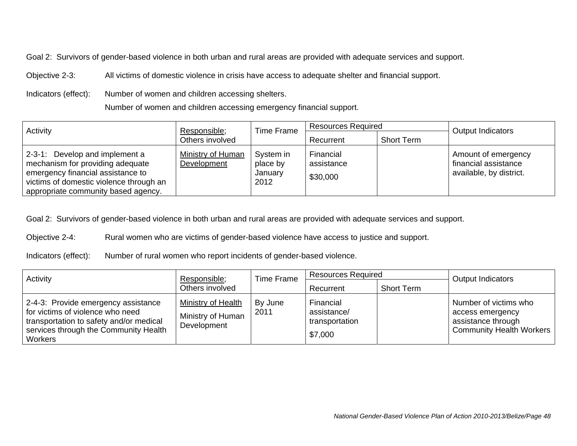Objective 2-3: All victims of domestic violence in crisis have access to adequate shelter and financial support.

Indicators (effect): Number of women and children accessing shelters.

Number of women and children accessing emergency financial support.

| Activity                                                                                                                                                                                  | Time Frame<br>Responsible;              | <b>Resources Required</b>                |                                     | <b>Output Indicators</b> |                                                                        |
|-------------------------------------------------------------------------------------------------------------------------------------------------------------------------------------------|-----------------------------------------|------------------------------------------|-------------------------------------|--------------------------|------------------------------------------------------------------------|
|                                                                                                                                                                                           | Others involved                         |                                          | Recurrent                           | <b>Short Term</b>        |                                                                        |
| 2-3-1: Develop and implement a<br>mechanism for providing adequate<br>emergency financial assistance to<br>victims of domestic violence through an<br>appropriate community based agency. | <b>Ministry of Human</b><br>Development | System in<br>place by<br>January<br>2012 | Financial<br>assistance<br>\$30,000 |                          | Amount of emergency<br>financial assistance<br>available, by district. |

Goal 2: Survivors of gender-based violence in both urban and rural areas are provided with adequate services and support.

Objective 2-4: Rural women who are victims of gender-based violence have access to justice and support.

Indicators (effect): Number of rural women who report incidents of gender-based violence.

| Activity                                                                                                                                                               | Responsible;                                           | <b>Resources Required</b><br>Time Frame |                                                       | <b>Output Indicators</b> |                                                                                                    |
|------------------------------------------------------------------------------------------------------------------------------------------------------------------------|--------------------------------------------------------|-----------------------------------------|-------------------------------------------------------|--------------------------|----------------------------------------------------------------------------------------------------|
|                                                                                                                                                                        | Others involved                                        |                                         | Recurrent                                             | <b>Short Term</b>        |                                                                                                    |
| 2-4-3: Provide emergency assistance<br>for victims of violence who need<br>transportation to safety and/or medical<br>services through the Community Health<br>Workers | Ministry of Health<br>Ministry of Human<br>Development | By June<br>2011                         | Financial<br>assistance/<br>transportation<br>\$7,000 |                          | Number of victims who<br>access emergency<br>assistance through<br><b>Community Health Workers</b> |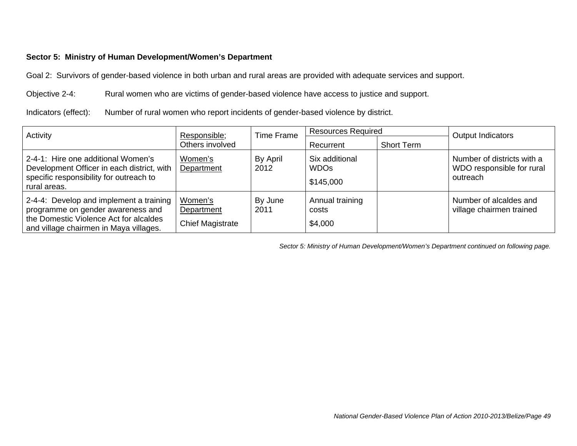### **Sector 5: Ministry of Human Development/Women's Department**

Goal 2: Survivors of gender-based violence in both urban and rural areas are provided with adequate services and support.

Objective 2-4: Rural women who are victims of gender-based violence have access to justice and support.

Indicators (effect): Number of rural women who report incidents of gender-based violence by district.

| Activity                                                                                                                                                         | Responsible;                                     | Time Frame       | <b>Resources Required</b>                  |                   | Output Indicators                                                   |
|------------------------------------------------------------------------------------------------------------------------------------------------------------------|--------------------------------------------------|------------------|--------------------------------------------|-------------------|---------------------------------------------------------------------|
|                                                                                                                                                                  | Others involved                                  |                  | Recurrent                                  | <b>Short Term</b> |                                                                     |
| 2-4-1: Hire one additional Women's<br>Development Officer in each district, with<br>specific responsibility for outreach to<br>rural areas.                      | Women's<br>Department                            | By April<br>2012 | Six additional<br><b>WDOs</b><br>\$145,000 |                   | Number of districts with a<br>WDO responsible for rural<br>outreach |
| 2-4-4: Develop and implement a training<br>programme on gender awareness and<br>the Domestic Violence Act for alcaldes<br>and village chairmen in Maya villages. | Women's<br>Department<br><b>Chief Magistrate</b> | By June<br>2011  | Annual training<br>costs<br>\$4,000        |                   | Number of alcaldes and<br>village chairmen trained                  |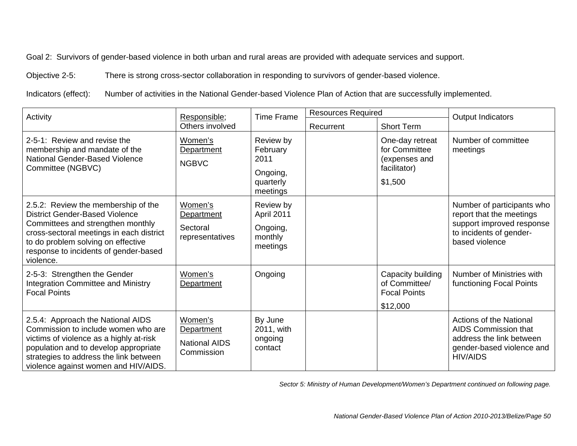Objective 2-5: There is strong cross-sector collaboration in responding to survivors of gender-based violence.

Indicators (effect): Number of activities in the National Gender-based Violence Plan of Action that are successfully implemented.

| Activity                                                                                                                                                                                                                                                  | Responsible;                                                |                                                                    | <b>Resources Required</b><br><b>Time Frame</b> |                                                                              | Output Indicators                                                                                                                  |
|-----------------------------------------------------------------------------------------------------------------------------------------------------------------------------------------------------------------------------------------------------------|-------------------------------------------------------------|--------------------------------------------------------------------|------------------------------------------------|------------------------------------------------------------------------------|------------------------------------------------------------------------------------------------------------------------------------|
|                                                                                                                                                                                                                                                           | Others involved                                             |                                                                    | Recurrent                                      | <b>Short Term</b>                                                            |                                                                                                                                    |
| 2-5-1: Review and revise the<br>membership and mandate of the<br>National Gender-Based Violence<br>Committee (NGBVC)                                                                                                                                      | Women's<br><b>Department</b><br><b>NGBVC</b>                | Review by<br>February<br>2011<br>Ongoing,<br>quarterly<br>meetings |                                                | One-day retreat<br>for Committee<br>(expenses and<br>facilitator)<br>\$1,500 | Number of committee<br>meetings                                                                                                    |
| 2.5.2: Review the membership of the<br><b>District Gender-Based Violence</b><br>Committees and strengthen monthly<br>cross-sectoral meetings in each district<br>to do problem solving on effective<br>response to incidents of gender-based<br>violence. | Women's<br>Department<br>Sectoral<br>representatives        | Review by<br>April 2011<br>Ongoing,<br>monthly<br>meetings         |                                                |                                                                              | Number of participants who<br>report that the meetings<br>support improved response<br>to incidents of gender-<br>based violence   |
| 2-5-3: Strengthen the Gender<br><b>Integration Committee and Ministry</b><br><b>Focal Points</b>                                                                                                                                                          | Women's<br>Department                                       | Ongoing                                                            |                                                | Capacity building<br>of Committee/<br><b>Focal Points</b><br>\$12,000        | Number of Ministries with<br>functioning Focal Points                                                                              |
| 2.5.4: Approach the National AIDS<br>Commission to include women who are<br>victims of violence as a highly at-risk<br>population and to develop appropriate<br>strategies to address the link between<br>violence against women and HIV/AIDS.            | Women's<br>Department<br><b>National AIDS</b><br>Commission | By June<br>2011, with<br>ongoing<br>contact                        |                                                |                                                                              | <b>Actions of the National</b><br>AIDS Commission that<br>address the link between<br>gender-based violence and<br><b>HIV/AIDS</b> |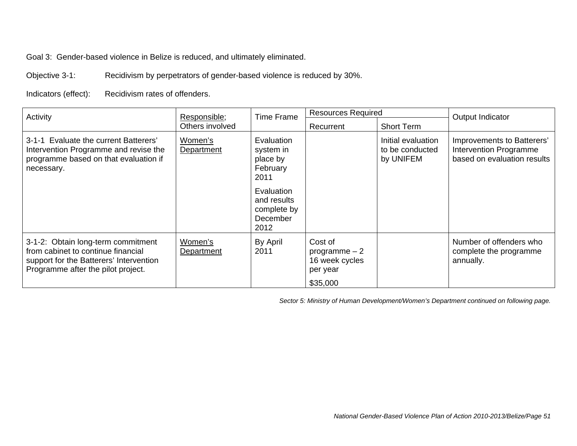Goal 3: Gender-based violence in Belize is reduced, and ultimately eliminated.

Objective 3-1: Recidivism by perpetrators of gender-based violence is reduced by 30%.

Indicators (effect): Recidivism rates of offenders.

| Activity                                                                                                                                                  | Responsible;<br>Others involved |                                                              | <b>Resources Required</b><br><b>Time Frame</b>                      |                                                    | Output Indicator                                                                    |
|-----------------------------------------------------------------------------------------------------------------------------------------------------------|---------------------------------|--------------------------------------------------------------|---------------------------------------------------------------------|----------------------------------------------------|-------------------------------------------------------------------------------------|
|                                                                                                                                                           |                                 |                                                              | Recurrent                                                           | <b>Short Term</b>                                  |                                                                                     |
| 3-1-1 Evaluate the current Batterers'<br>Intervention Programme and revise the<br>programme based on that evaluation if<br>necessary.                     | Women's<br>Department           | Evaluation<br>system in<br>place by<br>February<br>2011      |                                                                     | Initial evaluation<br>to be conducted<br>by UNIFEM | Improvements to Batterers'<br>Intervention Programme<br>based on evaluation results |
|                                                                                                                                                           |                                 | Evaluation<br>and results<br>complete by<br>December<br>2012 |                                                                     |                                                    |                                                                                     |
| 3-1-2: Obtain long-term commitment<br>from cabinet to continue financial<br>support for the Batterers' Intervention<br>Programme after the pilot project. | Women's<br>Department           | By April<br>2011                                             | Cost of<br>programme $-2$<br>16 week cycles<br>per year<br>\$35,000 |                                                    | Number of offenders who<br>complete the programme<br>annually.                      |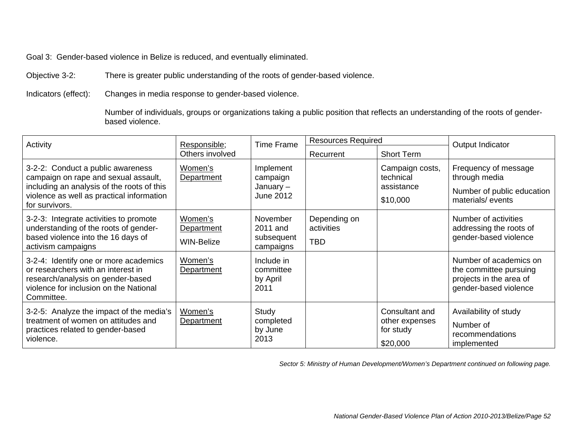Goal 3: Gender-based violence in Belize is reduced, and eventually eliminated.

Objective 3-2: There is greater public understanding of the roots of gender-based violence.

Indicators (effect): Changes in media response to gender-based violence.

 Number of individuals, groups or organizations taking a public position that reflects an understanding of the roots of genderbased violence.

| Activity                                                                                                                                                                               | <b>Time Frame</b><br>Responsible;          |                                                 | <b>Resources Required</b>                |                                                           | Output Indicator                                                                                     |
|----------------------------------------------------------------------------------------------------------------------------------------------------------------------------------------|--------------------------------------------|-------------------------------------------------|------------------------------------------|-----------------------------------------------------------|------------------------------------------------------------------------------------------------------|
|                                                                                                                                                                                        | Others involved                            |                                                 | Recurrent                                | <b>Short Term</b>                                         |                                                                                                      |
| 3-2-2: Conduct a public awareness<br>campaign on rape and sexual assault,<br>including an analysis of the roots of this<br>violence as well as practical information<br>for survivors. | Women's<br>Department                      | Implement<br>campaign<br>January -<br>June 2012 |                                          | Campaign costs,<br>technical<br>assistance<br>\$10,000    | Frequency of message<br>through media<br>Number of public education<br>materials/events              |
| 3-2-3: Integrate activities to promote<br>understanding of the roots of gender-<br>based violence into the 16 days of<br>activism campaigns                                            | Women's<br>Department<br><b>WIN-Belize</b> | November<br>2011 and<br>subsequent<br>campaigns | Depending on<br>activities<br><b>TBD</b> |                                                           | Number of activities<br>addressing the roots of<br>gender-based violence                             |
| 3-2-4: Identify one or more academics<br>or researchers with an interest in<br>research/analysis on gender-based<br>violence for inclusion on the National<br>Committee.               | Women's<br>Department                      | Include in<br>committee<br>by April<br>2011     |                                          |                                                           | Number of academics on<br>the committee pursuing<br>projects in the area of<br>gender-based violence |
| 3-2-5: Analyze the impact of the media's<br>treatment of women on attitudes and<br>practices related to gender-based<br>violence.                                                      | Women's<br>Department                      | Study<br>completed<br>by June<br>2013           |                                          | Consultant and<br>other expenses<br>for study<br>\$20,000 | Availability of study<br>Number of<br>recommendations<br>implemented                                 |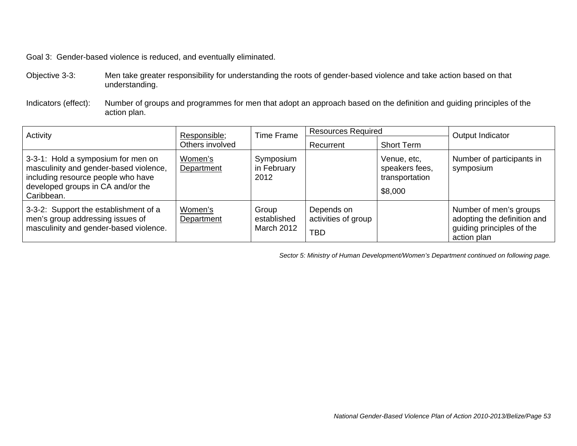Goal 3: Gender-based violence is reduced, and eventually eliminated.

Objective 3-3: Men take greater responsibility for understanding the roots of gender-based violence and take action based on that understanding.

Indicators (effect): Number of groups and programmes for men that adopt an approach based on the definition and guiding principles of the action plan.

| Activity                                                                                                                                                              | <b>Time Frame</b><br>Responsible; |                                           | <b>Resources Required</b>                       |                                                            | Output Indicator                                                                                  |
|-----------------------------------------------------------------------------------------------------------------------------------------------------------------------|-----------------------------------|-------------------------------------------|-------------------------------------------------|------------------------------------------------------------|---------------------------------------------------------------------------------------------------|
| Others involved                                                                                                                                                       |                                   | Recurrent                                 | <b>Short Term</b>                               |                                                            |                                                                                                   |
| 3-3-1: Hold a symposium for men on<br>masculinity and gender-based violence,<br>including resource people who have<br>developed groups in CA and/or the<br>Caribbean. | Women's<br>Department             | Symposium<br>in February<br>2012          |                                                 | Venue, etc,<br>speakers fees,<br>transportation<br>\$8,000 | Number of participants in<br>symposium                                                            |
| 3-3-2: Support the establishment of a<br>men's group addressing issues of<br>masculinity and gender-based violence.                                                   | Women's<br>Department             | Group<br>established<br><b>March 2012</b> | Depends on<br>activities of group<br><b>TBD</b> |                                                            | Number of men's groups<br>adopting the definition and<br>guiding principles of the<br>action plan |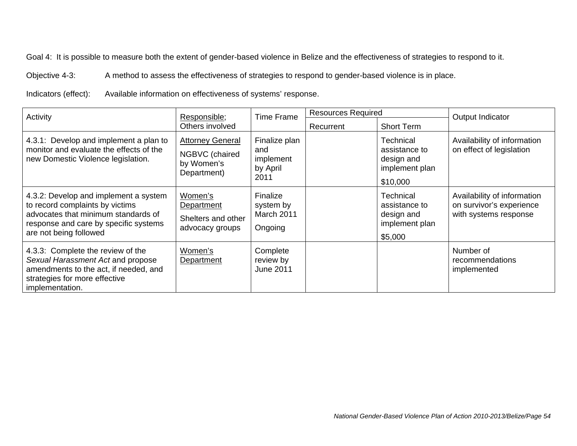Objective 4-3: A method to assess the effectiveness of strategies to respond to gender-based violence is in place.

Indicators (effect): Available information on effectiveness of systems' response.

| Activity                                                                                                                                                                           | <b>Time Frame</b><br>Responsible;                                      |                                                       | <b>Resources Required</b> |                                                                        | Output Indicator                                                                 |
|------------------------------------------------------------------------------------------------------------------------------------------------------------------------------------|------------------------------------------------------------------------|-------------------------------------------------------|---------------------------|------------------------------------------------------------------------|----------------------------------------------------------------------------------|
| Others involved                                                                                                                                                                    |                                                                        | Recurrent                                             | <b>Short Term</b>         |                                                                        |                                                                                  |
| 4.3.1: Develop and implement a plan to<br>monitor and evaluate the effects of the<br>new Domestic Violence legislation.                                                            | <b>Attorney General</b><br>NGBVC (chaired<br>by Women's<br>Department) | Finalize plan<br>and<br>implement<br>by April<br>2011 |                           | Technical<br>assistance to<br>design and<br>implement plan<br>\$10,000 | Availability of information<br>on effect of legislation                          |
| 4.3.2: Develop and implement a system<br>to record complaints by victims<br>advocates that minimum standards of<br>response and care by specific systems<br>are not being followed | Women's<br>Department<br>Shelters and other<br>advocacy groups         | Finalize<br>system by<br>March 2011<br>Ongoing        |                           | Technical<br>assistance to<br>design and<br>implement plan<br>\$5,000  | Availability of information<br>on survivor's experience<br>with systems response |
| 4.3.3: Complete the review of the<br>Sexual Harassment Act and propose<br>amendments to the act, if needed, and<br>strategies for more effective<br>implementation.                | Women's<br><b>Department</b>                                           | Complete<br>review by<br><b>June 2011</b>             |                           |                                                                        | Number of<br>recommendations<br>implemented                                      |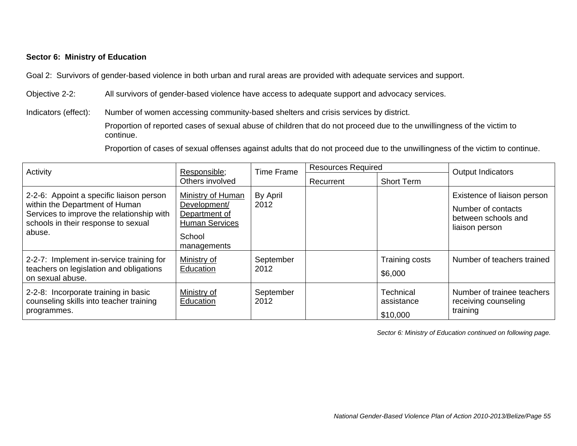### **Sector 6: Ministry of Education**

Goal 2: Survivors of gender-based violence in both urban and rural areas are provided with adequate services and support.

Objective 2-2: All survivors of gender-based violence have access to adequate support and advocacy services.

Indicators (effect): Number of women accessing community-based shelters and crisis services by district.

 Proportion of reported cases of sexual abuse of children that do not proceed due to the unwillingness of the victim to continue.

Proportion of cases of sexual offenses against adults that do not proceed due to the unwillingness of the victim to continue.

| Activity                                                                                                                                                                 | Responsible;                                                                                         |                   | <b>Resources Required</b><br><b>Time Frame</b> |                                     | <b>Output Indicators</b>                                                                   |
|--------------------------------------------------------------------------------------------------------------------------------------------------------------------------|------------------------------------------------------------------------------------------------------|-------------------|------------------------------------------------|-------------------------------------|--------------------------------------------------------------------------------------------|
|                                                                                                                                                                          | Others involved                                                                                      |                   | Recurrent                                      | <b>Short Term</b>                   |                                                                                            |
| 2-2-6: Appoint a specific liaison person<br>within the Department of Human<br>Services to improve the relationship with<br>schools in their response to sexual<br>abuse. | Ministry of Human<br>Development/<br>Department of<br><b>Human Services</b><br>School<br>managements | By April<br>2012  |                                                |                                     | Existence of liaison person<br>Number of contacts<br>between schools and<br>liaison person |
| 2-2-7: Implement in-service training for<br>teachers on legislation and obligations<br>on sexual abuse.                                                                  | Ministry of<br>Education                                                                             | September<br>2012 |                                                | Training costs<br>\$6,000           | Number of teachers trained                                                                 |
| 2-2-8: Incorporate training in basic<br>counseling skills into teacher training<br>programmes.                                                                           | Ministry of<br>Education                                                                             | September<br>2012 |                                                | Technical<br>assistance<br>\$10,000 | Number of trainee teachers<br>receiving counseling<br>training                             |

*Sector 6: Ministry of Education continued on following page.*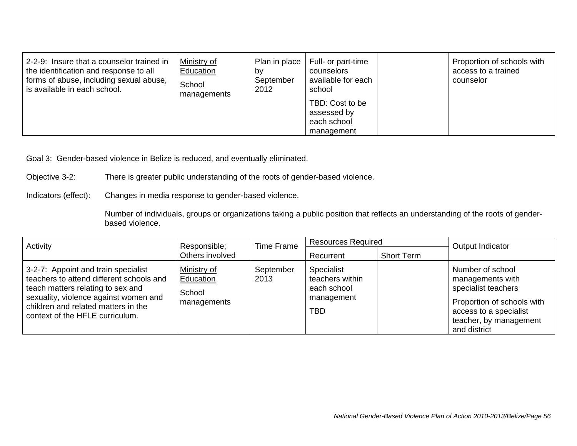| 2-2-9: Insure that a counselor trained in<br>the identification and response to all<br>forms of abuse, including sexual abuse,<br>is available in each school. | Ministry of<br>Education<br>School<br>managements | Plan in place  <br>bv<br>September<br>2012 | Full- or part-time<br>counselors<br>available for each<br>school | Proportion of schools with<br>access to a trained<br>counselor |
|----------------------------------------------------------------------------------------------------------------------------------------------------------------|---------------------------------------------------|--------------------------------------------|------------------------------------------------------------------|----------------------------------------------------------------|
|                                                                                                                                                                |                                                   |                                            | TBD: Cost to be<br>assessed by<br>each school<br>management      |                                                                |

Goal 3: Gender-based violence in Belize is reduced, and eventually eliminated.

Objective 3-2: There is greater public understanding of the roots of gender-based violence.

Indicators (effect): Changes in media response to gender-based violence.

 Number of individuals, groups or organizations taking a public position that reflects an understanding of the roots of genderbased violence.

| Activity<br>Responsible;                                                                                                                                                                                                                |                                                   | <b>Time Frame</b> | <b>Resources Required</b>                                                |  | Output Indicator                                                                                                                                              |
|-----------------------------------------------------------------------------------------------------------------------------------------------------------------------------------------------------------------------------------------|---------------------------------------------------|-------------------|--------------------------------------------------------------------------|--|---------------------------------------------------------------------------------------------------------------------------------------------------------------|
| Others involved                                                                                                                                                                                                                         | Recurrent                                         |                   | <b>Short Term</b>                                                        |  |                                                                                                                                                               |
| 3-2-7: Appoint and train specialist<br>teachers to attend different schools and<br>teach matters relating to sex and<br>sexuality, violence against women and<br>children and related matters in the<br>context of the HFLE curriculum. | Ministry of<br>Education<br>School<br>managements | September<br>2013 | Specialist<br>teachers within<br>each school<br>management<br><b>TBD</b> |  | Number of school<br>managements with<br>specialist teachers<br>Proportion of schools with<br>access to a specialist<br>teacher, by management<br>and district |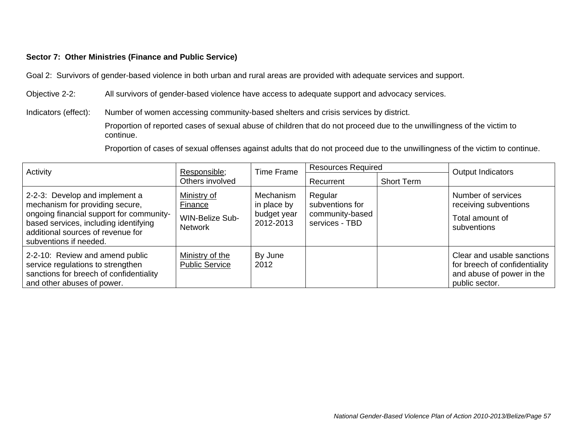### **Sector 7: Other Ministries (Finance and Public Service)**

Goal 2: Survivors of gender-based violence in both urban and rural areas are provided with adequate services and support.

Objective 2-2: All survivors of gender-based violence have access to adequate support and advocacy services.

Indicators (effect): Number of women accessing community-based shelters and crisis services by district.

 Proportion of reported cases of sexual abuse of children that do not proceed due to the unwillingness of the victim to continue.

Proportion of cases of sexual offenses against adults that do not proceed due to the unwillingness of the victim to continue.

| Activity<br>Responsible;                                                                                                                                                                                              |                                                                    | Time Frame                                           | <b>Resources Required</b>                                       |  | <b>Output Indicators</b>                                                                                   |
|-----------------------------------------------------------------------------------------------------------------------------------------------------------------------------------------------------------------------|--------------------------------------------------------------------|------------------------------------------------------|-----------------------------------------------------------------|--|------------------------------------------------------------------------------------------------------------|
|                                                                                                                                                                                                                       | Others involved                                                    | Recurrent                                            | <b>Short Term</b>                                               |  |                                                                                                            |
| 2-2-3: Develop and implement a<br>mechanism for providing secure,<br>ongoing financial support for community-<br>based services, including identifying<br>additional sources of revenue for<br>subventions if needed. | Ministry of<br>Finance<br><b>WIN-Belize Sub-</b><br><b>Network</b> | Mechanism<br>in place by<br>budget year<br>2012-2013 | Regular<br>subventions for<br>community-based<br>services - TBD |  | Number of services<br>receiving subventions<br>Total amount of<br>subventions                              |
| 2-2-10: Review and amend public<br>service regulations to strengthen<br>sanctions for breech of confidentiality<br>and other abuses of power.                                                                         | Ministry of the<br><b>Public Service</b>                           | By June<br>2012                                      |                                                                 |  | Clear and usable sanctions<br>for breech of confidentiality<br>and abuse of power in the<br>public sector. |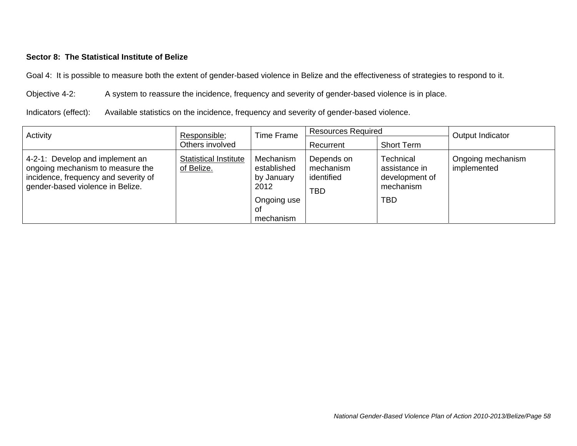### **Sector 8: The Statistical Institute of Belize**

Goal 4: It is possible to measure both the extent of gender-based violence in Belize and the effectiveness of strategies to respond to it.

Objective 4-2: A system to reassure the incidence, frequency and severity of gender-based violence is in place.

Indicators (effect): Available statistics on the incidence, frequency and severity of gender-based violence.

| Activity<br>Responsible;                                                                                                                        |                                            | <b>Resources Required</b><br><b>Time Frame</b>                                   |                                                     | Output Indicator                                                        |                                  |
|-------------------------------------------------------------------------------------------------------------------------------------------------|--------------------------------------------|----------------------------------------------------------------------------------|-----------------------------------------------------|-------------------------------------------------------------------------|----------------------------------|
|                                                                                                                                                 | Others involved                            |                                                                                  | Recurrent                                           | <b>Short Term</b>                                                       |                                  |
| 4-2-1: Develop and implement an<br>ongoing mechanism to measure the<br>incidence, frequency and severity of<br>gender-based violence in Belize. | <b>Statistical Institute</b><br>of Belize. | Mechanism<br>established<br>by January<br>2012<br>Ongoing use<br>Οt<br>mechanism | Depends on<br>mechanism<br>identified<br><b>TBD</b> | Technical<br>assistance in<br>development of<br>mechanism<br><b>TBD</b> | Ongoing mechanism<br>implemented |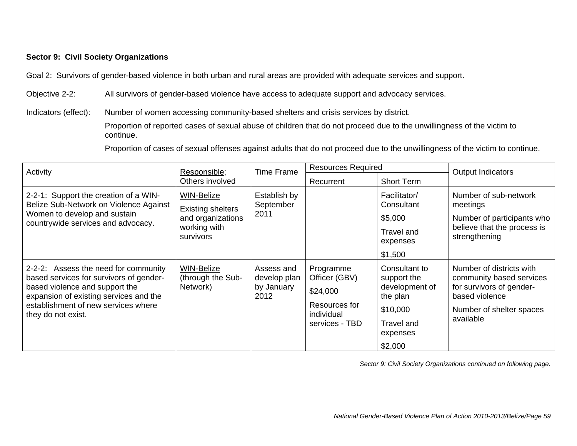### **Sector 9: Civil Society Organizations**

Goal 2: Survivors of gender-based violence in both urban and rural areas are provided with adequate services and support.

Objective 2-2: All survivors of gender-based violence have access to adequate support and advocacy services.

Indicators (effect): Number of women accessing community-based shelters and crisis services by district.

 Proportion of reported cases of sexual abuse of children that do not proceed due to the unwillingness of the victim to continue.

Proportion of cases of sexual offenses against adults that do not proceed due to the unwillingness of the victim to continue.

| Activity                                                                                                                                                                                                                 | Responsible;                                                                                    | <b>Resources Required</b><br><b>Time Frame</b>   |                                                                                         |                                                                                                             | <b>Output Indicators</b>                                                                                                                    |  |
|--------------------------------------------------------------------------------------------------------------------------------------------------------------------------------------------------------------------------|-------------------------------------------------------------------------------------------------|--------------------------------------------------|-----------------------------------------------------------------------------------------|-------------------------------------------------------------------------------------------------------------|---------------------------------------------------------------------------------------------------------------------------------------------|--|
|                                                                                                                                                                                                                          | Others involved                                                                                 |                                                  | Recurrent                                                                               | <b>Short Term</b>                                                                                           |                                                                                                                                             |  |
| 2-2-1: Support the creation of a WIN-<br>Belize Sub-Network on Violence Against<br>Women to develop and sustain<br>countrywide services and advocacy.                                                                    | <b>WIN-Belize</b><br><b>Existing shelters</b><br>and organizations<br>working with<br>survivors | Establish by<br>September<br>2011                |                                                                                         | Facilitator/<br>Consultant<br>\$5,000<br>Travel and<br>expenses<br>\$1,500                                  | Number of sub-network<br>meetings<br>Number of participants who<br>believe that the process is<br>strengthening                             |  |
| 2-2-2: Assess the need for community<br>based services for survivors of gender-<br>based violence and support the<br>expansion of existing services and the<br>establishment of new services where<br>they do not exist. | WIN-Belize<br>(through the Sub-<br>Network)                                                     | Assess and<br>develop plan<br>by January<br>2012 | Programme<br>Officer (GBV)<br>\$24,000<br>Resources for<br>individual<br>services - TBD | Consultant to<br>support the<br>development of<br>the plan<br>\$10,000<br>Travel and<br>expenses<br>\$2,000 | Number of districts with<br>community based services<br>for survivors of gender-<br>based violence<br>Number of shelter spaces<br>available |  |

*Sector 9: Civil Society Organizations continued on following page.*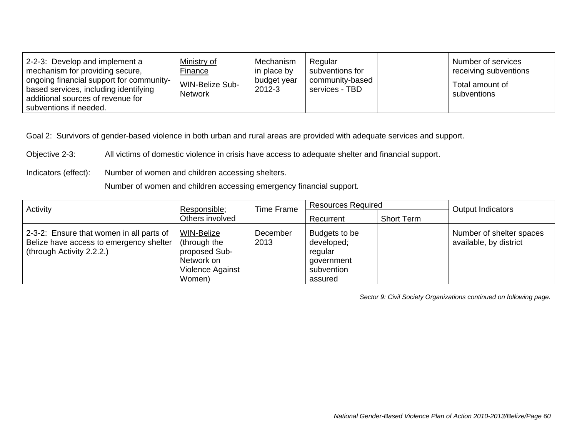| 2-2-3: Develop and implement a<br>mechanism for providing secure,<br>ongoing financial support for community-<br>based services, including identifying<br>additional sources of revenue for<br>subventions if needed. | Ministry of<br>Finance<br><b>WIN-Belize Sub-</b><br><b>Network</b> | Mechanism<br>in place by<br>budget year<br>2012-3 | Regular<br>subventions for<br>community-based<br>services - TBD |  | Number of services<br>receiving subventions<br>Total amount of<br>subventions |
|-----------------------------------------------------------------------------------------------------------------------------------------------------------------------------------------------------------------------|--------------------------------------------------------------------|---------------------------------------------------|-----------------------------------------------------------------|--|-------------------------------------------------------------------------------|
|-----------------------------------------------------------------------------------------------------------------------------------------------------------------------------------------------------------------------|--------------------------------------------------------------------|---------------------------------------------------|-----------------------------------------------------------------|--|-------------------------------------------------------------------------------|

Objective 2-3: All victims of domestic violence in crisis have access to adequate shelter and financial support.

Indicators (effect): Number of women and children accessing shelters.

Number of women and children accessing emergency financial support.

| Activity                                                                                                         | Responsible;                                                                                   | Time Frame       | <b>Resources Required</b>                                                     |                   | <b>Output Indicators</b>                           |  |
|------------------------------------------------------------------------------------------------------------------|------------------------------------------------------------------------------------------------|------------------|-------------------------------------------------------------------------------|-------------------|----------------------------------------------------|--|
|                                                                                                                  | Others involved                                                                                |                  | Recurrent                                                                     | <b>Short Term</b> |                                                    |  |
| 2-3-2: Ensure that women in all parts of<br>Belize have access to emergency shelter<br>(through Activity 2.2.2.) | <b>WIN-Belize</b><br>(through the<br>proposed Sub-<br>Network on<br>Violence Against<br>Women) | December<br>2013 | Budgets to be<br>developed;<br>regular<br>government<br>subvention<br>assured |                   | Number of shelter spaces<br>available, by district |  |

*Sector 9: Civil Society Organizations continued on following page.*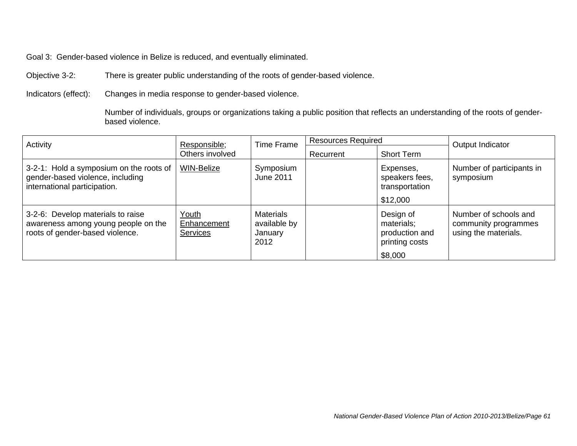Goal 3: Gender-based violence in Belize is reduced, and eventually eliminated.

Objective 3-2: There is greater public understanding of the roots of gender-based violence.

Indicators (effect): Changes in media response to gender-based violence.

 Number of individuals, groups or organizations taking a public position that reflects an understanding of the roots of genderbased violence.

| Activity                                                                                                    | Responsible;                            | <b>Time Frame</b>                                   | <b>Resources Required</b> |                                                                        | Output Indicator                                                      |
|-------------------------------------------------------------------------------------------------------------|-----------------------------------------|-----------------------------------------------------|---------------------------|------------------------------------------------------------------------|-----------------------------------------------------------------------|
|                                                                                                             | Others involved                         |                                                     | Recurrent                 | <b>Short Term</b>                                                      |                                                                       |
| 3-2-1: Hold a symposium on the roots of<br>gender-based violence, including<br>international participation. | <b>WIN-Belize</b>                       | Symposium<br><b>June 2011</b>                       |                           | Expenses,<br>speakers fees,<br>transportation<br>\$12,000              | Number of participants in<br>symposium                                |
| 3-2-6: Develop materials to raise<br>awareness among young people on the<br>roots of gender-based violence. | Youth<br>Enhancement<br><b>Services</b> | <b>Materials</b><br>available by<br>January<br>2012 |                           | Design of<br>materials;<br>production and<br>printing costs<br>\$8,000 | Number of schools and<br>community programmes<br>using the materials. |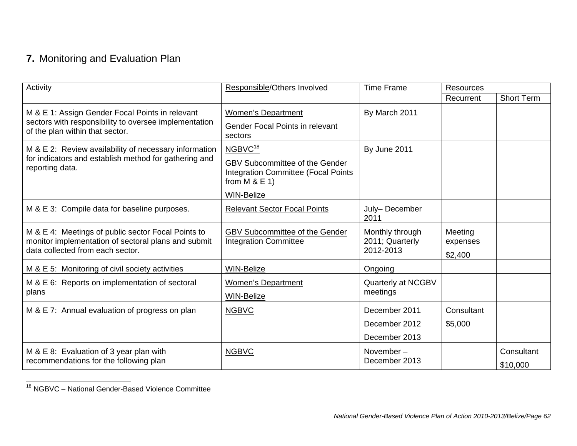# **7.** Monitoring and Evaluation Plan

| Activity                                                                                                                                      | Responsible/Others Involved                                                                           | <b>Time Frame</b>                               | <b>Resources</b>               |                        |
|-----------------------------------------------------------------------------------------------------------------------------------------------|-------------------------------------------------------------------------------------------------------|-------------------------------------------------|--------------------------------|------------------------|
|                                                                                                                                               |                                                                                                       |                                                 | Recurrent                      | <b>Short Term</b>      |
| M & E 1: Assign Gender Focal Points in relevant                                                                                               | <b>Women's Department</b>                                                                             | By March 2011                                   |                                |                        |
| sectors with responsibility to oversee implementation<br>of the plan within that sector.                                                      | <b>Gender Focal Points in relevant</b><br>sectors                                                     |                                                 |                                |                        |
| M & E 2: Review availability of necessary information                                                                                         | NGBVC <sup>18</sup>                                                                                   | By June 2011                                    |                                |                        |
| for indicators and establish method for gathering and<br>reporting data.                                                                      | <b>GBV Subcommittee of the Gender</b><br><b>Integration Committee (Focal Points</b><br>from $M & E 1$ |                                                 |                                |                        |
|                                                                                                                                               | <b>WIN-Belize</b>                                                                                     |                                                 |                                |                        |
| M & E 3: Compile data for baseline purposes.                                                                                                  | <b>Relevant Sector Focal Points</b>                                                                   | July-December<br>2011                           |                                |                        |
| M & E 4: Meetings of public sector Focal Points to<br>monitor implementation of sectoral plans and submit<br>data collected from each sector. | <b>GBV Subcommittee of the Gender</b><br><b>Integration Committee</b>                                 | Monthly through<br>2011; Quarterly<br>2012-2013 | Meeting<br>expenses<br>\$2,400 |                        |
| M & E 5: Monitoring of civil society activities                                                                                               | <b>WIN-Belize</b>                                                                                     | Ongoing                                         |                                |                        |
| M & E 6: Reports on implementation of sectoral<br>plans                                                                                       | <b>Women's Department</b><br>WIN-Belize                                                               | Quarterly at NCGBV<br>meetings                  |                                |                        |
| M & E 7: Annual evaluation of progress on plan                                                                                                | <b>NGBVC</b>                                                                                          | December 2011                                   | Consultant                     |                        |
|                                                                                                                                               |                                                                                                       | December 2012                                   | \$5,000                        |                        |
|                                                                                                                                               |                                                                                                       | December 2013                                   |                                |                        |
| M & E 8: Evaluation of 3 year plan with<br>recommendations for the following plan                                                             | <b>NGBVC</b>                                                                                          | November-<br>December 2013                      |                                | Consultant<br>\$10,000 |

<sup>18</sup> NGBVC – National Gender-Based Violence Committee